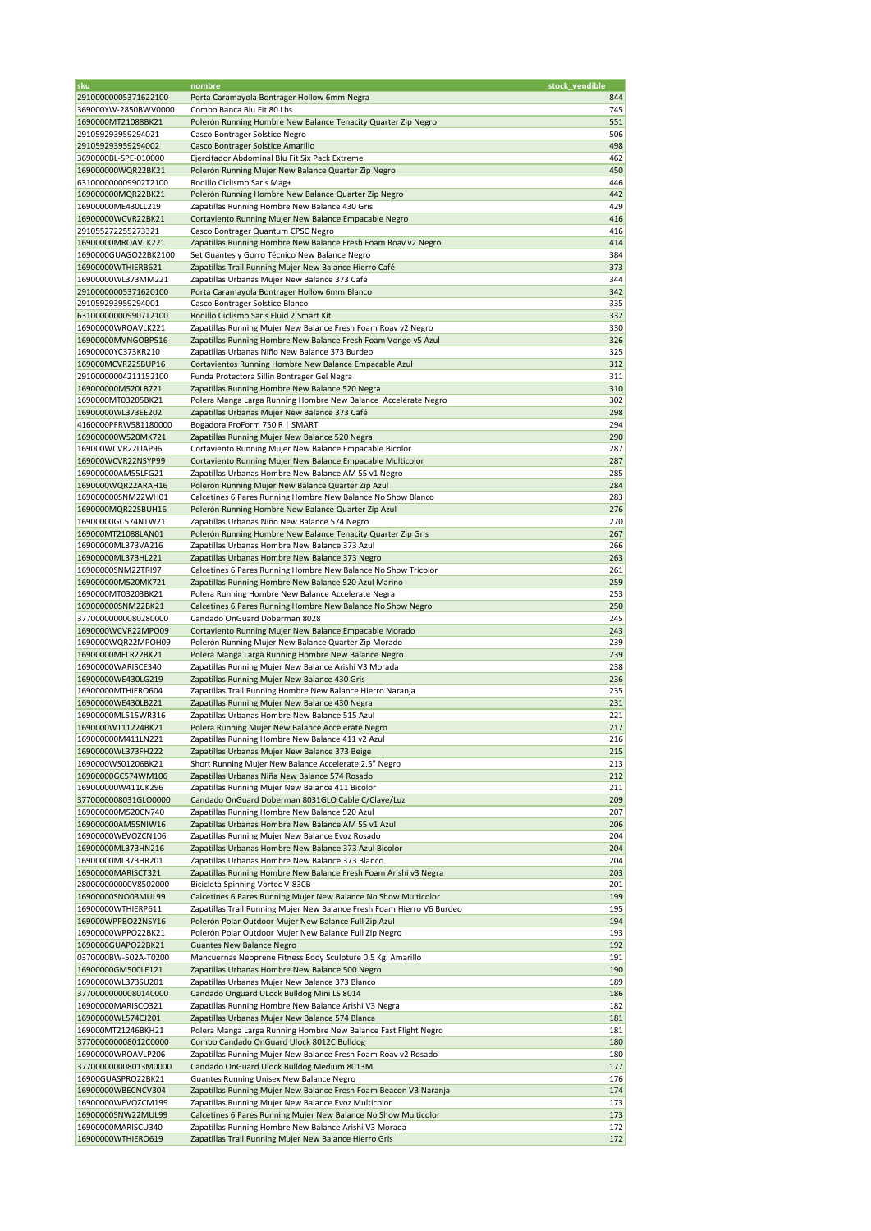| sku                                        | nombre                                                                                                                          | stock_vendible |
|--------------------------------------------|---------------------------------------------------------------------------------------------------------------------------------|----------------|
| 29100000005371622100                       | Porta Caramayola Bontrager Hollow 6mm Negra                                                                                     | 844            |
| 369000YW-2850BWV0000                       | Combo Banca Blu Fit 80 Lbs                                                                                                      | 745            |
| 1690000MT21088BK21                         | Polerón Running Hombre New Balance Tenacity Quarter Zip Negro                                                                   | 551            |
| 291059293959294021                         | Casco Bontrager Solstice Negro                                                                                                  | 506            |
| 291059293959294002                         | Casco Bontrager Solstice Amarillo                                                                                               | 498            |
| 3690000BL-SPE-010000                       | Ejercitador Abdominal Blu Fit Six Pack Extreme                                                                                  | 462            |
| 169000000WQR22BK21                         | Polerón Running Mujer New Balance Quarter Zip Negro                                                                             | 450            |
| 631000000009902T2100                       | Rodillo Ciclismo Saris Mag+                                                                                                     | 446            |
| 169000000MQR22BK21                         | Polerón Running Hombre New Balance Quarter Zip Negro                                                                            | 442            |
| 16900000ME430LL219                         | Zapatillas Running Hombre New Balance 430 Gris                                                                                  | 429            |
| 16900000WCVR22BK21                         | Cortaviento Running Mujer New Balance Empacable Negro                                                                           | 416            |
| 291055272255273321                         | Casco Bontrager Quantum CPSC Negro                                                                                              | 416            |
| 16900000MROAVLK221                         | Zapatillas Running Hombre New Balance Fresh Foam Roav v2 Negro                                                                  | 414            |
| 1690000GUAGO22BK2100                       | Set Guantes y Gorro Técnico New Balance Negro                                                                                   | 384            |
| 16900000WTHIERB621                         | Zapatillas Trail Running Mujer New Balance Hierro Café                                                                          | 373            |
| 16900000WL373MM221                         | Zapatillas Urbanas Mujer New Balance 373 Cafe                                                                                   | 344            |
| 29100000005371620100                       | Porta Caramayola Bontrager Hollow 6mm Blanco                                                                                    | 342            |
| 291059293959294001                         | Casco Bontrager Solstice Blanco                                                                                                 | 335            |
| 631000000009907T2100                       | Rodillo Ciclismo Saris Fluid 2 Smart Kit                                                                                        | 332            |
| 16900000WROAVLK221                         | Zapatillas Running Mujer New Balance Fresh Foam Roav v2 Negro                                                                   | 330            |
| 16900000MVNGOBP516                         | Zapatillas Running Hombre New Balance Fresh Foam Vongo v5 Azul                                                                  | 326            |
| 16900000YC373KR210                         | Zapatillas Urbanas Niño New Balance 373 Burdeo                                                                                  | 325            |
| 169000MCVR22SBUP16                         | Cortavientos Running Hombre New Balance Empacable Azul                                                                          | 312            |
| 29100000004211152100                       | Funda Protectora Sillín Bontrager Gel Negra                                                                                     | 311            |
| 169000000M520LB721                         | Zapatillas Running Hombre New Balance 520 Negra                                                                                 | 310            |
| 1690000MT03205BK21                         | Polera Manga Larga Running Hombre New Balance Accelerate Negro                                                                  | 302            |
| 16900000WL373EE202                         | Zapatillas Urbanas Mujer New Balance 373 Café                                                                                   | 298            |
| 4160000PFRW581180000                       | Bogadora ProForm 750 R   SMART                                                                                                  | 294            |
| 169000000W520MK721                         | Zapatillas Running Mujer New Balance 520 Negra                                                                                  | 290            |
| 169000WCVR22LIAP96                         | Cortaviento Running Mujer New Balance Empacable Bicolor                                                                         | 287            |
| 169000WCVR22NSYP99                         | Cortaviento Running Mujer New Balance Empacable Multicolor                                                                      | 287            |
| 169000000AM55LFG21                         | Zapatillas Urbanas Hombre New Balance AM 55 v1 Negro                                                                            | 285            |
| 1690000WQR22ARAH16                         | Polerón Running Mujer New Balance Quarter Zip Azul                                                                              | 284            |
| 169000000SNM22WH01                         | Calcetines 6 Pares Running Hombre New Balance No Show Blanco                                                                    | 283            |
| 1690000MQR22SBUH16                         | Polerón Running Hombre New Balance Quarter Zip Azul                                                                             | 276            |
| 16900000GC574NTW21                         | Zapatillas Urbanas Niño New Balance 574 Negro                                                                                   | 270            |
| 169000MT21088LAN01                         | Polerón Running Hombre New Balance Tenacity Quarter Zip Gris                                                                    | 267            |
| 16900000ML373VA216                         | Zapatillas Urbanas Hombre New Balance 373 Azul                                                                                  | 266            |
| 16900000ML373HL221                         | Zapatillas Urbanas Hombre New Balance 373 Negro                                                                                 | 263            |
| 16900000SNM22TRI97                         | Calcetines 6 Pares Running Hombre New Balance No Show Tricolor                                                                  | 261            |
| 169000000M520MK721                         | Zapatillas Running Hombre New Balance 520 Azul Marino                                                                           | 259            |
| 1690000MT03203BK21                         | Polera Running Hombre New Balance Accelerate Negra                                                                              | 253            |
| 169000000SNM22BK21                         | Calcetines 6 Pares Running Hombre New Balance No Show Negro                                                                     | 250            |
| 37700000000080280000                       | Candado OnGuard Doberman 8028                                                                                                   | 245            |
| 1690000WCVR22MPO09                         | Cortaviento Running Mujer New Balance Empacable Morado                                                                          | 243            |
| 1690000WQR22MPOH09                         | Polerón Running Mujer New Balance Quarter Zip Morado                                                                            | 239            |
| 16900000MFLR22BK21                         | Polera Manga Larga Running Hombre New Balance Negro                                                                             | 239            |
| 16900000WARISCE340                         | Zapatillas Running Mujer New Balance Arishi V3 Morada                                                                           | 238            |
| 16900000WE430LG219                         | Zapatillas Running Mujer New Balance 430 Gris                                                                                   | 236            |
| 16900000MTHIERO604                         | Zapatillas Trail Running Hombre New Balance Hierro Naranja                                                                      | 235            |
| 16900000WE430LB221                         | Zapatillas Running Mujer New Balance 430 Negra                                                                                  | 231            |
| 16900000ML515WR316                         | Zapatillas Urbanas Hombre New Balance 515 Azul                                                                                  | 221            |
| 1690000WT11224BK21                         | Polera Running Mujer New Balance Accelerate Negro                                                                               | 217            |
| 169000000M411LN221                         | Zapatillas Running Hombre New Balance 411 v2 Azul                                                                               |                |
| 16900000WL373FH222                         | Zapatillas Urbanas Mujer New Balance 373 Beige                                                                                  | 216<br>215     |
|                                            |                                                                                                                                 |                |
| 1690000WS01206BK21<br>16900000GC574WM106   | Short Running Mujer New Balance Accelerate 2.5" Negro<br>Zapatillas Urbanas Niña New Balance 574 Rosado                         | 213<br>212     |
|                                            |                                                                                                                                 | 211            |
| 169000000W411CK296                         | Zapatillas Running Mujer New Balance 411 Bicolor                                                                                | 209            |
| 3770000008031GLO0000                       | Candado OnGuard Doberman 8031GLO Cable C/Clave/Luz                                                                              | 207            |
| 169000000M520CN740<br>169000000AM55NIW16   | Zapatillas Running Hombre New Balance 520 Azul<br>Zapatillas Urbanas Hombre New Balance AM 55 v1 Azul                           | 206            |
| 16900000WEVOZCN106                         | Zapatillas Running Mujer New Balance Evoz Rosado                                                                                | 204            |
|                                            | Zapatillas Urbanas Hombre New Balance 373 Azul Bicolor                                                                          | 204            |
| 16900000ML373HN216<br>16900000ML373HR201   | Zapatillas Urbanas Hombre New Balance 373 Blanco                                                                                | 204            |
| 16900000MARISCT321                         | Zapatillas Running Hombre New Balance Fresh Foam Arishi v3 Negra                                                                | 203            |
| 280000000000V8502000                       | Bicicleta Spinning Vortec V-830B                                                                                                | 201            |
| 16900000SNO03MUL99                         | Calcetines 6 Pares Running Mujer New Balance No Show Multicolor                                                                 | 199            |
|                                            |                                                                                                                                 | 195            |
| 16900000WTHIERP611                         | Zapatillas Trail Running Mujer New Balance Fresh Foam Hierro V6 Burdeo<br>Polerón Polar Outdoor Mujer New Balance Full Zip Azul | 194            |
| 169000WPPBO22NSY16<br>16900000WPPO22BK21   | Polerón Polar Outdoor Mujer New Balance Full Zip Negro                                                                          | 193            |
|                                            |                                                                                                                                 | 192            |
| 1690000GUAPO22BK21<br>0370000BW-502A-T0200 | <b>Guantes New Balance Negro</b><br>Mancuernas Neoprene Fitness Body Sculpture 0,5 Kg. Amarillo                                 | 191            |
| 16900000GM500LE121                         | Zapatillas Urbanas Hombre New Balance 500 Negro                                                                                 | 190            |
| 16900000WL373SU201                         | Zapatillas Urbanas Mujer New Balance 373 Blanco                                                                                 | 189            |
|                                            | Candado Onguard ULock Bulldog Mini LS 8014                                                                                      | 186            |
| 37700000000080140000<br>16900000MARISCO321 | Zapatillas Running Hombre New Balance Arishi V3 Negra                                                                           | 182            |
|                                            | Zapatillas Urbanas Mujer New Balance 574 Blanca                                                                                 |                |
| 16900000WL574CJ201                         |                                                                                                                                 | 181            |
| 169000MT21246BKH21                         | Polera Manga Larga Running Hombre New Balance Fast Flight Negro                                                                 | 181            |
| 377000000008012C0000                       | Combo Candado OnGuard Ulock 8012C Bulldog<br>Zapatillas Running Mujer New Balance Fresh Foam Roav v2 Rosado                     | 180<br>180     |
| 16900000WROAVLP206                         | Candado OnGuard Ulock Bulldog Medium 8013M                                                                                      | 177            |
| 377000000008013M0000                       |                                                                                                                                 |                |
| 16900GUASPRO22BK21                         | Guantes Running Unisex New Balance Negro                                                                                        | 176            |
| 16900000WBECNCV304                         | Zapatillas Running Mujer New Balance Fresh Foam Beacon V3 Naranja                                                               | 174            |
| 16900000WEVOZCM199                         | Zapatillas Running Mujer New Balance Evoz Multicolor                                                                            | 173            |
| 16900000SNW22MUL99                         | Calcetines 6 Pares Running Mujer New Balance No Show Multicolor                                                                 | 173            |
| 16900000MARISCU340<br>16900000WTHIERO619   | Zapatillas Running Hombre New Balance Arishi V3 Morada<br>Zapatillas Trail Running Mujer New Balance Hierro Gris                | 172<br>172     |
|                                            |                                                                                                                                 |                |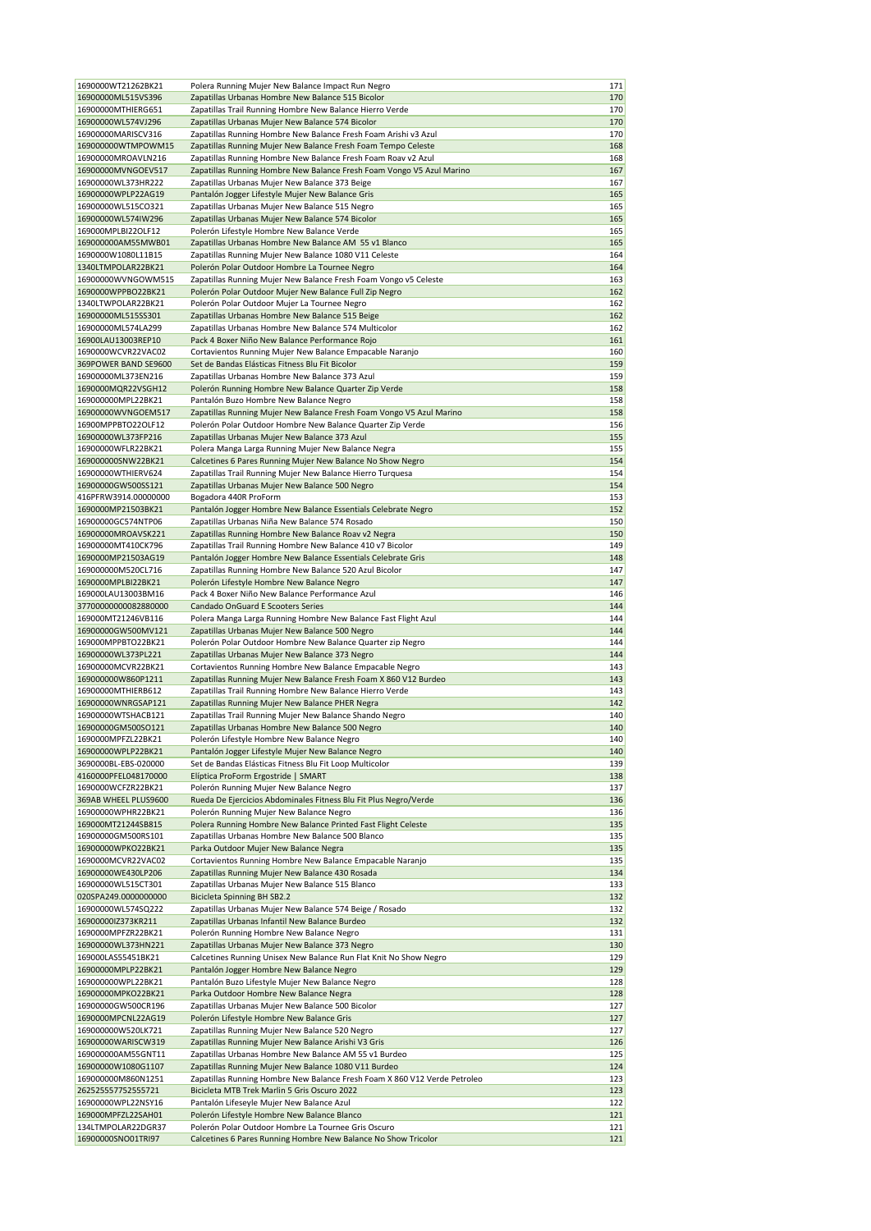| 1690000WT21262BK21                                                                                                                                                                                                                                                                                                                                                                                                                                   | Polera Running Mujer New Balance Impact Run Negro                                                                     | 171        |
|------------------------------------------------------------------------------------------------------------------------------------------------------------------------------------------------------------------------------------------------------------------------------------------------------------------------------------------------------------------------------------------------------------------------------------------------------|-----------------------------------------------------------------------------------------------------------------------|------------|
| 16900000ML515VS396                                                                                                                                                                                                                                                                                                                                                                                                                                   | Zapatillas Urbanas Hombre New Balance 515 Bicolor                                                                     | 170        |
|                                                                                                                                                                                                                                                                                                                                                                                                                                                      |                                                                                                                       |            |
| 16900000MTHIERG651                                                                                                                                                                                                                                                                                                                                                                                                                                   | Zapatillas Trail Running Hombre New Balance Hierro Verde                                                              | 170        |
| 16900000WL574VJ296                                                                                                                                                                                                                                                                                                                                                                                                                                   | Zapatillas Urbanas Mujer New Balance 574 Bicolor                                                                      | 170        |
| 16900000MARISCV316                                                                                                                                                                                                                                                                                                                                                                                                                                   | Zapatillas Running Hombre New Balance Fresh Foam Arishi v3 Azul                                                       | 170        |
| 169000000WTMPOWM15                                                                                                                                                                                                                                                                                                                                                                                                                                   | Zapatillas Running Mujer New Balance Fresh Foam Tempo Celeste                                                         | 168        |
| 16900000MROAVLN216                                                                                                                                                                                                                                                                                                                                                                                                                                   | Zapatillas Running Hombre New Balance Fresh Foam Roav v2 Azul                                                         | 168        |
| 16900000MVNGOEV517                                                                                                                                                                                                                                                                                                                                                                                                                                   | Zapatillas Running Hombre New Balance Fresh Foam Vongo V5 Azul Marino                                                 | 167        |
|                                                                                                                                                                                                                                                                                                                                                                                                                                                      |                                                                                                                       |            |
| 16900000WL373HR222                                                                                                                                                                                                                                                                                                                                                                                                                                   | Zapatillas Urbanas Mujer New Balance 373 Beige                                                                        | 167        |
| 16900000WPLP22AG19                                                                                                                                                                                                                                                                                                                                                                                                                                   | Pantalón Jogger Lifestyle Mujer New Balance Gris                                                                      | 165        |
| 16900000WL515CO321                                                                                                                                                                                                                                                                                                                                                                                                                                   | Zapatillas Urbanas Mujer New Balance 515 Negro                                                                        | 165        |
| 16900000WL574IW296                                                                                                                                                                                                                                                                                                                                                                                                                                   | Zapatillas Urbanas Mujer New Balance 574 Bicolor                                                                      | 165        |
| 169000MPLBI22OLF12                                                                                                                                                                                                                                                                                                                                                                                                                                   | Polerón Lifestyle Hombre New Balance Verde                                                                            | 165        |
| 169000000AM55MWB01                                                                                                                                                                                                                                                                                                                                                                                                                                   | Zapatillas Urbanas Hombre New Balance AM 55 v1 Blanco                                                                 | 165        |
| 1690000W1080L11B15                                                                                                                                                                                                                                                                                                                                                                                                                                   |                                                                                                                       | 164        |
|                                                                                                                                                                                                                                                                                                                                                                                                                                                      | Zapatillas Running Mujer New Balance 1080 V11 Celeste                                                                 |            |
| 1340LTMPOLAR22BK21                                                                                                                                                                                                                                                                                                                                                                                                                                   | Polerón Polar Outdoor Hombre La Tournee Negro                                                                         | 164        |
| 16900000WVNGOWM515                                                                                                                                                                                                                                                                                                                                                                                                                                   | Zapatillas Running Mujer New Balance Fresh Foam Vongo v5 Celeste                                                      | 163        |
| 1690000WPPBO22BK21                                                                                                                                                                                                                                                                                                                                                                                                                                   | Polerón Polar Outdoor Mujer New Balance Full Zip Negro                                                                | 162        |
| 1340LTWPOLAR22BK21                                                                                                                                                                                                                                                                                                                                                                                                                                   | Polerón Polar Outdoor Mujer La Tournee Negro                                                                          | 162        |
| 16900000ML515SS301                                                                                                                                                                                                                                                                                                                                                                                                                                   | Zapatillas Urbanas Hombre New Balance 515 Beige                                                                       | 162        |
| 16900000ML574LA299                                                                                                                                                                                                                                                                                                                                                                                                                                   | Zapatillas Urbanas Hombre New Balance 574 Multicolor                                                                  | 162        |
|                                                                                                                                                                                                                                                                                                                                                                                                                                                      |                                                                                                                       |            |
| 16900LAU13003REP10                                                                                                                                                                                                                                                                                                                                                                                                                                   | Pack 4 Boxer Niño New Balance Performance Rojo                                                                        | 161        |
| 1690000WCVR22VAC02                                                                                                                                                                                                                                                                                                                                                                                                                                   | Cortavientos Running Mujer New Balance Empacable Naranjo                                                              | 160        |
| 369POWER BAND SE9600                                                                                                                                                                                                                                                                                                                                                                                                                                 | Set de Bandas Elásticas Fitness Blu Fit Bicolor                                                                       | 159        |
| 16900000ML373EN216                                                                                                                                                                                                                                                                                                                                                                                                                                   | Zapatillas Urbanas Hombre New Balance 373 Azul                                                                        | 159        |
| 1690000MQR22VSGH12                                                                                                                                                                                                                                                                                                                                                                                                                                   | Polerón Running Hombre New Balance Quarter Zip Verde                                                                  | 158        |
| 169000000MPL22BK21                                                                                                                                                                                                                                                                                                                                                                                                                                   | Pantalón Buzo Hombre New Balance Negro                                                                                | 158        |
|                                                                                                                                                                                                                                                                                                                                                                                                                                                      |                                                                                                                       |            |
| 16900000WVNGOEM517                                                                                                                                                                                                                                                                                                                                                                                                                                   | Zapatillas Running Mujer New Balance Fresh Foam Vongo V5 Azul Marino                                                  | 158        |
| 16900MPPBTO22OLF12                                                                                                                                                                                                                                                                                                                                                                                                                                   | Polerón Polar Outdoor Hombre New Balance Quarter Zip Verde                                                            | 156        |
| 16900000WL373FP216                                                                                                                                                                                                                                                                                                                                                                                                                                   | Zapatillas Urbanas Mujer New Balance 373 Azul                                                                         | 155        |
| 16900000WFLR22BK21                                                                                                                                                                                                                                                                                                                                                                                                                                   | Polera Manga Larga Running Mujer New Balance Negra                                                                    | 155        |
| 169000000SNW22BK21                                                                                                                                                                                                                                                                                                                                                                                                                                   | Calcetines 6 Pares Running Mujer New Balance No Show Negro                                                            | 154        |
| 16900000WTHIERV624                                                                                                                                                                                                                                                                                                                                                                                                                                   | Zapatillas Trail Running Mujer New Balance Hierro Turquesa                                                            | 154        |
|                                                                                                                                                                                                                                                                                                                                                                                                                                                      |                                                                                                                       |            |
| 16900000GW500SS121                                                                                                                                                                                                                                                                                                                                                                                                                                   | Zapatillas Urbanas Mujer New Balance 500 Negro                                                                        | 154        |
| 416PFRW3914.00000000                                                                                                                                                                                                                                                                                                                                                                                                                                 | Bogadora 440R ProForm                                                                                                 | 153        |
| 1690000MP21503BK21                                                                                                                                                                                                                                                                                                                                                                                                                                   | Pantalón Jogger Hombre New Balance Essentials Celebrate Negro                                                         | 152        |
| 16900000GC574NTP06                                                                                                                                                                                                                                                                                                                                                                                                                                   | Zapatillas Urbanas Niña New Balance 574 Rosado                                                                        | 150        |
| 16900000MROAVSK221                                                                                                                                                                                                                                                                                                                                                                                                                                   | Zapatillas Running Hombre New Balance Roav v2 Negra                                                                   | 150        |
| 16900000MT410CK796                                                                                                                                                                                                                                                                                                                                                                                                                                   | Zapatillas Trail Running Hombre New Balance 410 v7 Bicolor                                                            | 149        |
|                                                                                                                                                                                                                                                                                                                                                                                                                                                      |                                                                                                                       |            |
| 1690000MP21503AG19                                                                                                                                                                                                                                                                                                                                                                                                                                   | Pantalón Jogger Hombre New Balance Essentials Celebrate Gris                                                          | 148        |
| 169000000M520CL716                                                                                                                                                                                                                                                                                                                                                                                                                                   | Zapatillas Running Hombre New Balance 520 Azul Bicolor                                                                | 147        |
| 1690000MPLBI22BK21                                                                                                                                                                                                                                                                                                                                                                                                                                   | Polerón Lifestyle Hombre New Balance Negro                                                                            | 147        |
| 169000LAU13003BM16                                                                                                                                                                                                                                                                                                                                                                                                                                   | Pack 4 Boxer Niño New Balance Performance Azul                                                                        | 146        |
| 37700000000082880000                                                                                                                                                                                                                                                                                                                                                                                                                                 | Candado OnGuard E Scooters Series                                                                                     | 144        |
| 169000MT21246VB116                                                                                                                                                                                                                                                                                                                                                                                                                                   | Polera Manga Larga Running Hombre New Balance Fast Flight Azul                                                        | 144        |
| 16900000GW500MV121                                                                                                                                                                                                                                                                                                                                                                                                                                   | Zapatillas Urbanas Mujer New Balance 500 Negro                                                                        | 144        |
|                                                                                                                                                                                                                                                                                                                                                                                                                                                      |                                                                                                                       |            |
| 169000MPPBTO22BK21                                                                                                                                                                                                                                                                                                                                                                                                                                   | Polerón Polar Outdoor Hombre New Balance Quarter zip Negro                                                            | 144        |
| 16900000WL373PL221                                                                                                                                                                                                                                                                                                                                                                                                                                   | Zapatillas Urbanas Mujer New Balance 373 Negro                                                                        | 144        |
| 16900000MCVR22BK21                                                                                                                                                                                                                                                                                                                                                                                                                                   | Cortavientos Running Hombre New Balance Empacable Negro                                                               | 143        |
| 169000000W860P1211                                                                                                                                                                                                                                                                                                                                                                                                                                   | Zapatillas Running Mujer New Balance Fresh Foam X 860 V12 Burdeo                                                      | 143        |
| 16900000MTHIERB612                                                                                                                                                                                                                                                                                                                                                                                                                                   | Zapatillas Trail Running Hombre New Balance Hierro Verde                                                              | 143        |
| 16900000WNRGSAP121                                                                                                                                                                                                                                                                                                                                                                                                                                   | Zapatillas Running Mujer New Balance PHER Negra                                                                       | 142        |
|                                                                                                                                                                                                                                                                                                                                                                                                                                                      |                                                                                                                       |            |
| 16900000WTSHACB121                                                                                                                                                                                                                                                                                                                                                                                                                                   | Zapatillas Trail Running Mujer New Balance Shando Negro                                                               | 140        |
| 16900000GM500SO121                                                                                                                                                                                                                                                                                                                                                                                                                                   | Zapatillas Urbanas Hombre New Balance 500 Negro                                                                       | 140        |
| 1690000MPFZL22BK21                                                                                                                                                                                                                                                                                                                                                                                                                                   | Polerón Lifestyle Hombre New Balance Negro                                                                            | 140        |
| 16900000WPLP22BK21                                                                                                                                                                                                                                                                                                                                                                                                                                   | Pantalón Jogger Lifestyle Mujer New Balance Negro                                                                     | 140        |
| 3690000BL-EBS-020000                                                                                                                                                                                                                                                                                                                                                                                                                                 | Set de Bandas Elásticas Fitness Blu Fit Loop Multicolor                                                               | 139        |
| 4160000PFEL048170000                                                                                                                                                                                                                                                                                                                                                                                                                                 | Elíptica ProForm Ergostride   SMART                                                                                   | 138        |
|                                                                                                                                                                                                                                                                                                                                                                                                                                                      |                                                                                                                       |            |
| 1690000WCFZR22BK21                                                                                                                                                                                                                                                                                                                                                                                                                                   | Polerón Running Mujer New Balance Negro                                                                               | 137        |
| 369AB WHEEL PLUS9600                                                                                                                                                                                                                                                                                                                                                                                                                                 | Rueda De Ejercicios Abdominales Fitness Blu Fit Plus Negro/Verde                                                      | 136        |
| 16900000WPHR22BK21                                                                                                                                                                                                                                                                                                                                                                                                                                   |                                                                                                                       | 136        |
|                                                                                                                                                                                                                                                                                                                                                                                                                                                      | Polerón Running Mujer New Balance Negro                                                                               |            |
|                                                                                                                                                                                                                                                                                                                                                                                                                                                      | Polera Running Hombre New Balance Printed Fast Flight Celeste                                                         | 135        |
|                                                                                                                                                                                                                                                                                                                                                                                                                                                      | Zapatillas Urbanas Hombre New Balance 500 Blanco                                                                      |            |
|                                                                                                                                                                                                                                                                                                                                                                                                                                                      |                                                                                                                       | 135        |
|                                                                                                                                                                                                                                                                                                                                                                                                                                                      | Parka Outdoor Mujer New Balance Negra                                                                                 | 135        |
|                                                                                                                                                                                                                                                                                                                                                                                                                                                      | Cortavientos Running Hombre New Balance Empacable Naranjo                                                             | 135        |
|                                                                                                                                                                                                                                                                                                                                                                                                                                                      | Zapatillas Running Mujer New Balance 430 Rosada                                                                       | 134        |
| 169000MT21244SB815<br>16900000GM500RS101<br>16900000WPKO22BK21<br>1690000MCVR22VAC02<br>16900000WE430LP206<br>16900000WL515CT301                                                                                                                                                                                                                                                                                                                     | Zapatillas Urbanas Mujer New Balance 515 Blanco                                                                       | 133        |
| 020SPA249.0000000000                                                                                                                                                                                                                                                                                                                                                                                                                                 | <b>Bicicleta Spinning BH SB2.2</b>                                                                                    | 132        |
|                                                                                                                                                                                                                                                                                                                                                                                                                                                      | Zapatillas Urbanas Mujer New Balance 574 Beige / Rosado                                                               | 132        |
|                                                                                                                                                                                                                                                                                                                                                                                                                                                      | Zapatillas Urbanas Infantil New Balance Burdeo                                                                        |            |
|                                                                                                                                                                                                                                                                                                                                                                                                                                                      |                                                                                                                       | 132        |
|                                                                                                                                                                                                                                                                                                                                                                                                                                                      | Polerón Running Hombre New Balance Negro                                                                              | 131        |
|                                                                                                                                                                                                                                                                                                                                                                                                                                                      | Zapatillas Urbanas Mujer New Balance 373 Negro                                                                        | 130        |
|                                                                                                                                                                                                                                                                                                                                                                                                                                                      | Calcetines Running Unisex New Balance Run Flat Knit No Show Negro                                                     | 129        |
|                                                                                                                                                                                                                                                                                                                                                                                                                                                      | Pantalón Jogger Hombre New Balance Negro                                                                              | 129        |
|                                                                                                                                                                                                                                                                                                                                                                                                                                                      | Pantalón Buzo Lifestyle Mujer New Balance Negro                                                                       | 128        |
|                                                                                                                                                                                                                                                                                                                                                                                                                                                      | Parka Outdoor Hombre New Balance Negra                                                                                | 128        |
|                                                                                                                                                                                                                                                                                                                                                                                                                                                      |                                                                                                                       |            |
|                                                                                                                                                                                                                                                                                                                                                                                                                                                      | Zapatillas Urbanas Mujer New Balance 500 Bicolor                                                                      | 127        |
|                                                                                                                                                                                                                                                                                                                                                                                                                                                      | Polerón Lifestyle Hombre New Balance Gris                                                                             | 127        |
|                                                                                                                                                                                                                                                                                                                                                                                                                                                      | Zapatillas Running Mujer New Balance 520 Negro                                                                        | 127        |
|                                                                                                                                                                                                                                                                                                                                                                                                                                                      | Zapatillas Running Mujer New Balance Arishi V3 Gris                                                                   | 126        |
|                                                                                                                                                                                                                                                                                                                                                                                                                                                      | Zapatillas Urbanas Hombre New Balance AM 55 v1 Burdeo                                                                 | 125        |
|                                                                                                                                                                                                                                                                                                                                                                                                                                                      | Zapatillas Running Mujer New Balance 1080 V11 Burdeo                                                                  | 124        |
|                                                                                                                                                                                                                                                                                                                                                                                                                                                      |                                                                                                                       |            |
|                                                                                                                                                                                                                                                                                                                                                                                                                                                      | Zapatillas Running Hombre New Balance Fresh Foam X 860 V12 Verde Petroleo                                             | 123        |
|                                                                                                                                                                                                                                                                                                                                                                                                                                                      | Bicicleta MTB Trek Marlin 5 Gris Oscuro 2022                                                                          | 123        |
|                                                                                                                                                                                                                                                                                                                                                                                                                                                      | Pantalón Lifeseyle Mujer New Balance Azul                                                                             | 122        |
|                                                                                                                                                                                                                                                                                                                                                                                                                                                      | Polerón Lifestyle Hombre New Balance Blanco                                                                           | 121        |
| 16900000WL574SQ222<br>16900000lZ373KR211<br>1690000MPFZR22BK21<br>16900000WL373HN221<br>169000LAS55451BK21<br>16900000MPLP22BK21<br>169000000WPL22BK21<br>16900000MPKO22BK21<br>16900000GW500CR196<br>1690000MPCNL22AG19<br>169000000W520LK721<br>16900000WARISCW319<br>169000000AM55GNT11<br>16900000W1080G1107<br>169000000M860N1251<br>262525557752555721<br>16900000WPL22NSY16<br>169000MPFZL22SAH01<br>134LTMPOLAR22DGR37<br>16900000SNO01TRI97 | Polerón Polar Outdoor Hombre La Tournee Gris Oscuro<br>Calcetines 6 Pares Running Hombre New Balance No Show Tricolor | 121<br>121 |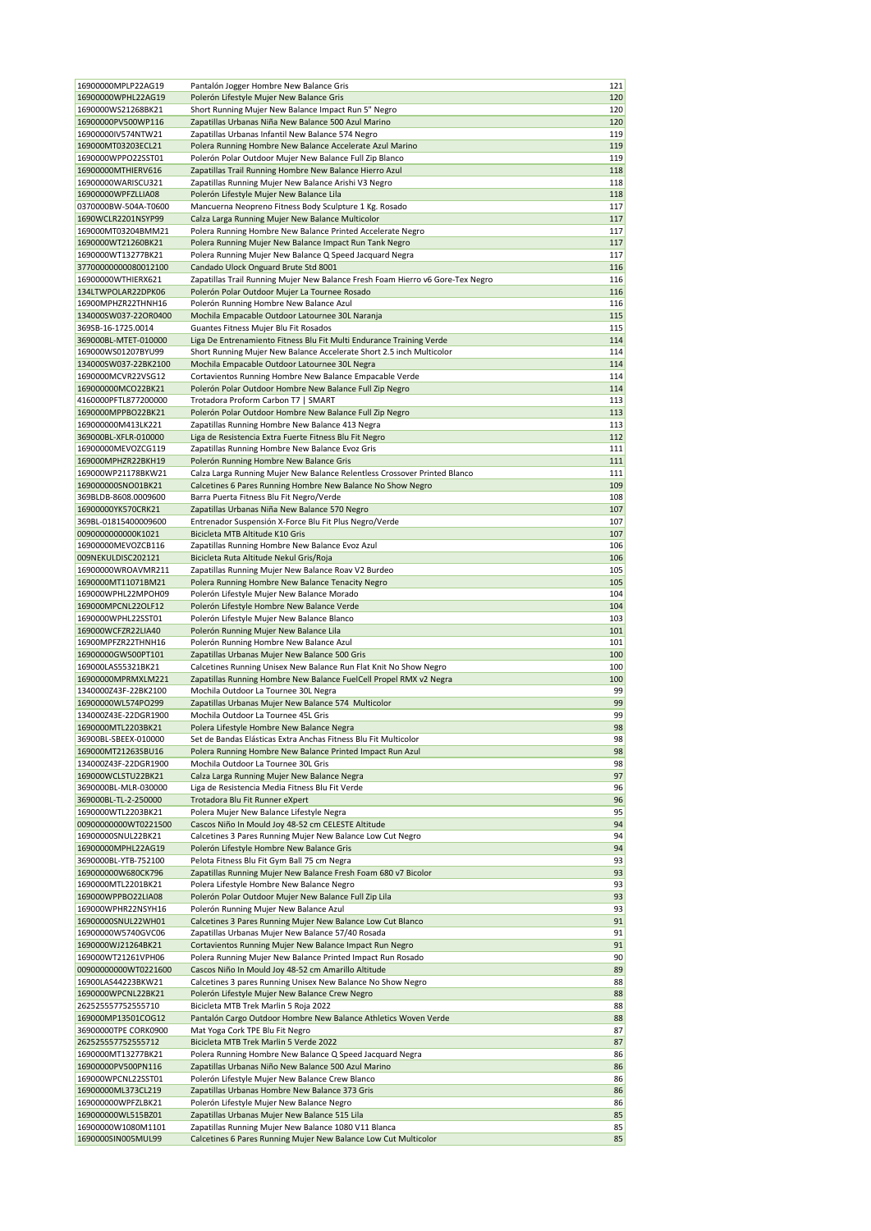| 16900000MPLP22AG19                       | Pantalón Jogger Hombre New Balance Gris                                                                                 | 121      |
|------------------------------------------|-------------------------------------------------------------------------------------------------------------------------|----------|
| 16900000WPHL22AG19                       | Polerón Lifestyle Mujer New Balance Gris                                                                                | 120      |
| 1690000WS21268BK21                       | Short Running Mujer New Balance Impact Run 5" Negro                                                                     | 120      |
| 16900000PV500WP116                       | Zapatillas Urbanas Niña New Balance 500 Azul Marino                                                                     | 120      |
|                                          |                                                                                                                         | 119      |
| 16900000IV574NTW21                       | Zapatillas Urbanas Infantil New Balance 574 Negro                                                                       |          |
| 169000MT03203ECL21                       | Polera Running Hombre New Balance Accelerate Azul Marino                                                                | 119      |
| 1690000WPPO22SST01                       | Polerón Polar Outdoor Mujer New Balance Full Zip Blanco                                                                 | 119      |
| 16900000MTHIERV616                       | Zapatillas Trail Running Hombre New Balance Hierro Azul                                                                 | 118      |
| 16900000WARISCU321                       | Zapatillas Running Mujer New Balance Arishi V3 Negro                                                                    | 118      |
| 16900000WPFZLLIA08                       | Polerón Lifestyle Mujer New Balance Lila                                                                                | 118      |
| 0370000BW-504A-T0600                     | Mancuerna Neopreno Fitness Body Sculpture 1 Kg. Rosado                                                                  | 117      |
| 1690WCLR2201NSYP99                       | Calza Larga Running Mujer New Balance Multicolor                                                                        | 117      |
| 169000MT03204BMM21                       | Polera Running Hombre New Balance Printed Accelerate Negro                                                              | 117      |
| 1690000WT21260BK21                       | Polera Running Mujer New Balance Impact Run Tank Negro                                                                  | 117      |
| 1690000WT13277BK21                       | Polera Running Mujer New Balance Q Speed Jacquard Negra                                                                 | 117      |
| 37700000000080012100                     | Candado Ulock Onguard Brute Std 8001                                                                                    | 116      |
|                                          |                                                                                                                         | 116      |
| 16900000WTHIERX621                       | Zapatillas Trail Running Mujer New Balance Fresh Foam Hierro v6 Gore-Tex Negro                                          |          |
| 134LTWPOLAR22DPK06                       | Polerón Polar Outdoor Mujer La Tournee Rosado                                                                           | 116      |
| 16900MPHZR22THNH16                       | Polerón Running Hombre New Balance Azul                                                                                 | 116      |
| 134000SW037-22OR0400                     | Mochila Empacable Outdoor Latournee 30L Naranja                                                                         | 115      |
| 369SB-16-1725.0014                       | Guantes Fitness Mujer Blu Fit Rosados                                                                                   | 115      |
| 369000BL-MTET-010000                     | Liga De Entrenamiento Fitness Blu Fit Multi Endurance Training Verde                                                    | 114      |
| 169000WS01207BYU99                       | Short Running Mujer New Balance Accelerate Short 2.5 inch Multicolor                                                    | 114      |
| 134000SW037-22BK2100                     | Mochila Empacable Outdoor Latournee 30L Negra                                                                           | 114      |
| 1690000MCVR22VSG12                       | Cortavientos Running Hombre New Balance Empacable Verde                                                                 | 114      |
| 169000000MCO22BK21                       | Polerón Polar Outdoor Hombre New Balance Full Zip Negro                                                                 | 114      |
| 4160000PFTL877200000                     | Trotadora Proform Carbon T7   SMART                                                                                     | 113      |
| 1690000MPPBO22BK21                       | Polerón Polar Outdoor Hombre New Balance Full Zip Negro                                                                 | 113      |
| 169000000M413LK221                       |                                                                                                                         | 113      |
|                                          | Zapatillas Running Hombre New Balance 413 Negra                                                                         |          |
| 369000BL-XFLR-010000                     | Liga de Resistencia Extra Fuerte Fitness Blu Fit Negro                                                                  | 112      |
| 16900000MEVOZCG119                       | Zapatillas Running Hombre New Balance Evoz Gris                                                                         | 111      |
| 169000MPHZR22BKH19                       | Polerón Running Hombre New Balance Gris                                                                                 | 111      |
| 169000WP21178BKW21                       | Calza Larga Running Mujer New Balance Relentless Crossover Printed Blanco                                               | 111      |
| 169000000SNO01BK21                       | Calcetines 6 Pares Running Hombre New Balance No Show Negro                                                             | 109      |
| 369BLDB-8608.0009600                     | Barra Puerta Fitness Blu Fit Negro/Verde                                                                                | 108      |
| 16900000YK570CRK21                       | Zapatillas Urbanas Niña New Balance 570 Negro                                                                           | 107      |
| 369BL-01815400009600                     | Entrenador Suspensión X-Force Blu Fit Plus Negro/Verde                                                                  | 107      |
| 0090000000000K1021                       | Bicicleta MTB Altitude K10 Gris                                                                                         | 107      |
| 16900000MEVOZCB116                       | Zapatillas Running Hombre New Balance Evoz Azul                                                                         | 106      |
| 009NEKULDISC202121                       | Bicicleta Ruta Altitude Nekul Gris/Roja                                                                                 | 106      |
|                                          |                                                                                                                         |          |
| 16900000WROAVMR211                       | Zapatillas Running Mujer New Balance Roav V2 Burdeo                                                                     | 105      |
| 1690000MT11071BM21                       | Polera Running Hombre New Balance Tenacity Negro                                                                        | 105      |
| 169000WPHL22MPOH09                       | Polerón Lifestyle Mujer New Balance Morado                                                                              | 104      |
| 169000MPCNL22OLF12                       | Polerón Lifestyle Hombre New Balance Verde                                                                              | 104      |
| 1690000WPHL22SST01                       | Polerón Lifestyle Mujer New Balance Blanco                                                                              | 103      |
| 169000WCFZR22LIA40                       | Polerón Running Mujer New Balance Lila                                                                                  | 101      |
| 16900MPFZR22THNH16                       | Polerón Running Hombre New Balance Azul                                                                                 | 101      |
| 16900000GW500PT101                       | Zapatillas Urbanas Mujer New Balance 500 Gris                                                                           | 100      |
| 169000LAS55321BK21                       | Calcetines Running Unisex New Balance Run Flat Knit No Show Negro                                                       | 100      |
| 16900000MPRMXLM221                       | Zapatillas Running Hombre New Balance FuelCell Propel RMX v2 Negra                                                      | 100      |
| 1340000Z43F-22BK2100                     | Mochila Outdoor La Tournee 30L Negra                                                                                    | 99       |
| 16900000WL574PO299                       | Zapatillas Urbanas Mujer New Balance 574 Multicolor                                                                     | 99       |
| 134000Z43E-22DGR1900                     | Mochila Outdoor La Tournee 45L Gris                                                                                     | 99       |
| 1690000MTL2203BK21                       | Polera Lifestyle Hombre New Balance Negra                                                                               | 98       |
|                                          |                                                                                                                         |          |
| 36900BL-SBEEX-010000                     | Set de Bandas Elásticas Extra Anchas Fitness Blu Fit Multicolor                                                         | 98       |
| 169000MT21263SBU16                       | Polera Running Hombre New Balance Printed Impact Run Azul                                                               | 98       |
| 134000Z43F-22DGR1900                     | Mochila Outdoor La Tournee 30L Gris                                                                                     | 98       |
| 169000WCLSTU22BK21                       | Calza Larga Running Mujer New Balance Negra                                                                             | 97       |
| 3690000BL-MLR-030000                     | Liga de Resistencia Media Fitness Blu Fit Verde                                                                         | 96       |
| 369000BL-TL-2-250000                     | Trotadora Blu Fit Runner eXpert                                                                                         | 96       |
| 1690000WTL2203BK21                       | Polera Mujer New Balance Lifestyle Negra                                                                                | 95       |
| 00900000000WT0221500                     | Cascos Niño In Mould Joy 48-52 cm CELESTE Altitude                                                                      | 94       |
| 16900000SNUL22BK21                       | Calcetines 3 Pares Running Mujer New Balance Low Cut Negro                                                              | 94       |
| 16900000MPHL22AG19                       | Polerón Lifestyle Hombre New Balance Gris                                                                               | 94       |
| 3690000BL-YTB-752100                     | Pelota Fitness Blu Fit Gym Ball 75 cm Negra                                                                             | 93       |
| 169000000W680CK796                       | Zapatillas Running Mujer New Balance Fresh Foam 680 v7 Bicolor                                                          | 93       |
| 1690000MTL2201BK21                       | Polera Lifestyle Hombre New Balance Negro                                                                               | 93       |
|                                          |                                                                                                                         |          |
| 169000WPPBO22LIA08                       | Polerón Polar Outdoor Mujer New Balance Full Zip Lila                                                                   | 93       |
| 169000WPHR22NSYH16                       | Polerón Running Mujer New Balance Azul                                                                                  | 93       |
| 16900000SNUL22WH01                       | Calcetines 3 Pares Running Mujer New Balance Low Cut Blanco                                                             | 91       |
| 16900000W5740GVC06                       |                                                                                                                         |          |
| 1690000WJ21264BK21                       | Zapatillas Urbanas Mujer New Balance 57/40 Rosada                                                                       | 91       |
| 169000WT21261VPH06                       | Cortavientos Running Mujer New Balance Impact Run Negro                                                                 | 91       |
|                                          | Polera Running Mujer New Balance Printed Impact Run Rosado                                                              | 90       |
| 00900000000WT0221600                     | Cascos Niño In Mould Joy 48-52 cm Amarillo Altitude                                                                     | 89       |
| 16900LAS44223BKW21                       | Calcetines 3 pares Running Unisex New Balance No Show Negro                                                             | 88       |
| 1690000WPCNL22BK21                       | Polerón Lifestyle Mujer New Balance Crew Negro                                                                          | 88       |
| 262525557752555710                       | Bicicleta MTB Trek Marlin 5 Roja 2022                                                                                   | 88       |
| 169000MP13501COG12                       | Pantalón Cargo Outdoor Hombre New Balance Athletics Woven Verde                                                         | 88       |
|                                          |                                                                                                                         |          |
| 36900000TPE CORK0900                     | Mat Yoga Cork TPE Blu Fit Negro                                                                                         | 87       |
| 262525557752555712                       | Bicicleta MTB Trek Marlin 5 Verde 2022                                                                                  | 87       |
| 1690000MT13277BK21                       | Polera Running Hombre New Balance Q Speed Jacquard Negra                                                                | 86       |
| 16900000PV500PN116                       | Zapatillas Urbanas Niño New Balance 500 Azul Marino                                                                     | 86       |
| 169000WPCNL22SST01                       | Polerón Lifestyle Mujer New Balance Crew Blanco                                                                         | 86       |
| 16900000ML373CL219                       | Zapatillas Urbanas Hombre New Balance 373 Gris                                                                          | 86       |
| 169000000WPFZLBK21                       | Polerón Lifestyle Mujer New Balance Negro                                                                               | 86       |
| 169000000WL515BZ01                       | Zapatillas Urbanas Mujer New Balance 515 Lila                                                                           | 85       |
| 16900000W1080M1101<br>1690000SIN005MUL99 | Zapatillas Running Mujer New Balance 1080 V11 Blanca<br>Calcetines 6 Pares Running Mujer New Balance Low Cut Multicolor | 85<br>85 |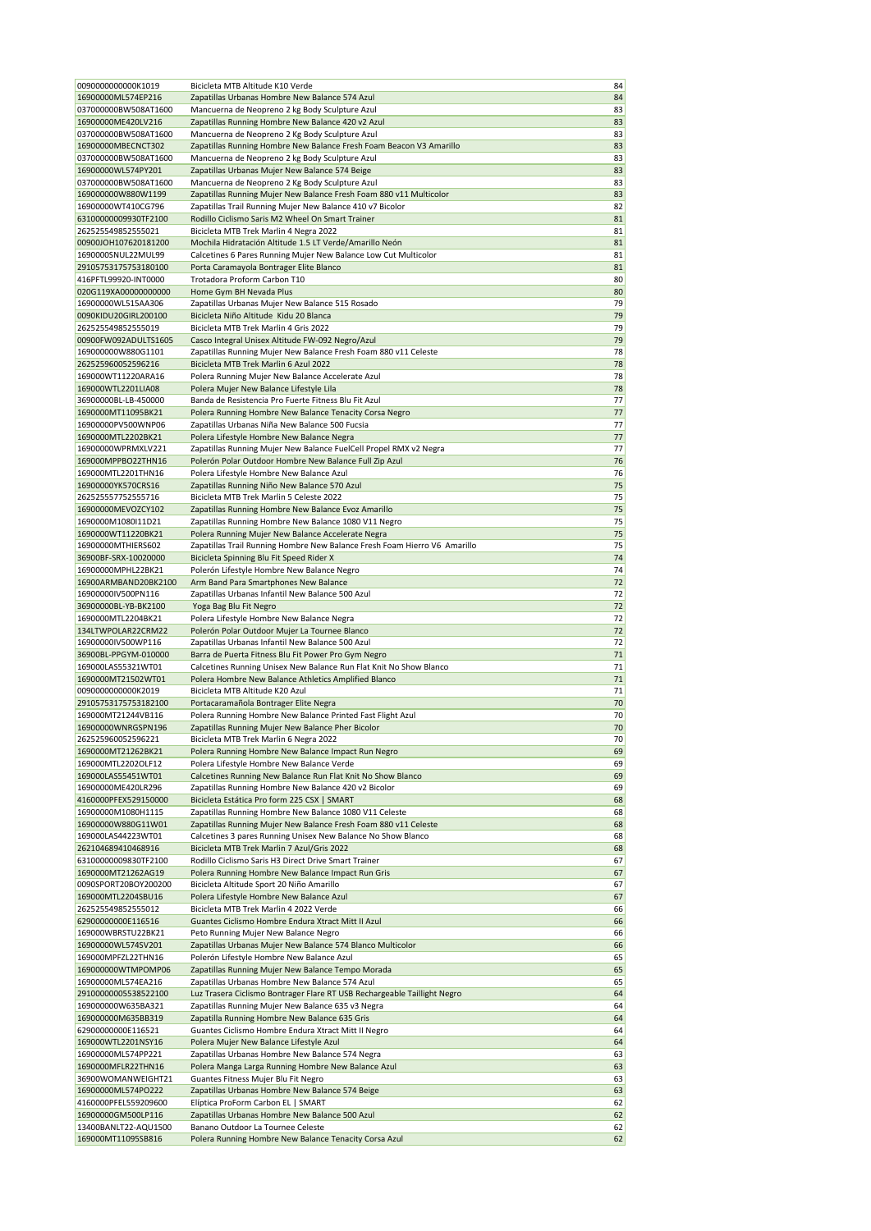| 0090000000000K1019                         | Bicicleta MTB Altitude K10 Verde                                                                    | 84       |
|--------------------------------------------|-----------------------------------------------------------------------------------------------------|----------|
| 16900000ML574EP216                         | Zapatillas Urbanas Hombre New Balance 574 Azul                                                      | 84       |
| 037000000BW508AT1600                       | Mancuerna de Neopreno 2 kg Body Sculpture Azul                                                      | 83       |
| 16900000ME420LV216                         | Zapatillas Running Hombre New Balance 420 v2 Azul                                                   | 83       |
| 037000000BW508AT1600                       | Mancuerna de Neopreno 2 Kg Body Sculpture Azul                                                      | 83       |
| 16900000MBECNCT302                         | Zapatillas Running Hombre New Balance Fresh Foam Beacon V3 Amarillo                                 | 83       |
| 037000000BW508AT1600                       | Mancuerna de Neopreno 2 kg Body Sculpture Azul                                                      | 83       |
| 16900000WL574PY201                         | Zapatillas Urbanas Mujer New Balance 574 Beige                                                      | 83       |
| 037000000BW508AT1600                       | Mancuerna de Neopreno 2 Kg Body Sculpture Azul                                                      | 83       |
| 169000000W880W1199                         | Zapatillas Running Mujer New Balance Fresh Foam 880 v11 Multicolor                                  | 83       |
| 16900000WT410CG796                         | Zapatillas Trail Running Mujer New Balance 410 v7 Bicolor                                           | 82       |
| 63100000009930TF2100                       | Rodillo Ciclismo Saris M2 Wheel On Smart Trainer                                                    | 81<br>81 |
| 262525549852555021<br>00900JOH107620181200 | Bicicleta MTB Trek Marlin 4 Negra 2022<br>Mochila Hidratación Altitude 1.5 LT Verde/Amarillo Neón   | 81       |
| 1690000SNUL22MUL99                         | Calcetines 6 Pares Running Mujer New Balance Low Cut Multicolor                                     | 81       |
| 29105753175753180100                       | Porta Caramayola Bontrager Elite Blanco                                                             | 81       |
| 416PFTL99920-INT0000                       | Trotadora Proform Carbon T10                                                                        | 80       |
| 020G119XA00000000000                       | Home Gym BH Nevada Plus                                                                             | 80       |
| 16900000WL515AA306                         | Zapatillas Urbanas Mujer New Balance 515 Rosado                                                     | 79       |
| 0090KIDU20GIRL200100                       | Bicicleta Niño Altitude Kidu 20 Blanca                                                              | 79       |
| 262525549852555019                         | Bicicleta MTB Trek Marlin 4 Gris 2022                                                               | 79       |
| 00900FW092ADULTS1605                       | Casco Integral Unisex Altitude FW-092 Negro/Azul                                                    | 79       |
| 169000000W880G1101                         | Zapatillas Running Mujer New Balance Fresh Foam 880 v11 Celeste                                     | 78       |
| 262525960052596216                         | Bicicleta MTB Trek Marlin 6 Azul 2022                                                               | 78       |
| 169000WT11220ARA16                         | Polera Running Mujer New Balance Accelerate Azul                                                    | 78       |
| 169000WTL2201LIA08                         | Polera Mujer New Balance Lifestyle Lila                                                             | 78       |
| 36900000BL-LB-450000                       | Banda de Resistencia Pro Fuerte Fitness Blu Fit Azul                                                | 77       |
| 1690000MT11095BK21                         | Polera Running Hombre New Balance Tenacity Corsa Negro                                              | 77       |
| 16900000PV500WNP06                         | Zapatillas Urbanas Niña New Balance 500 Fucsia                                                      | 77       |
| 1690000MTL2202BK21                         | Polera Lifestyle Hombre New Balance Negra                                                           | 77       |
| 16900000WPRMXLV221                         | Zapatillas Running Mujer New Balance FuelCell Propel RMX v2 Negra                                   | 77       |
| 169000MPPBO22THN16<br>169000MTL2201THN16   | Polerón Polar Outdoor Hombre New Balance Full Zip Azul<br>Polera Lifestyle Hombre New Balance Azul  | 76<br>76 |
| 16900000YK570CRS16                         | Zapatillas Running Niño New Balance 570 Azul                                                        | 75       |
| 262525557752555716                         | Bicicleta MTB Trek Marlin 5 Celeste 2022                                                            | 75       |
| 16900000MEVOZCY102                         | Zapatillas Running Hombre New Balance Evoz Amarillo                                                 | 75       |
| 1690000M1080I11D21                         | Zapatillas Running Hombre New Balance 1080 V11 Negro                                                | 75       |
| 1690000WT11220BK21                         | Polera Running Mujer New Balance Accelerate Negra                                                   | 75       |
| 16900000MTHIERS602                         | Zapatillas Trail Running Hombre New Balance Fresh Foam Hierro V6 Amarillo                           | 75       |
| 36900BF-SRX-10020000                       | Bicicleta Spinning Blu Fit Speed Rider X                                                            | 74       |
| 16900000MPHL22BK21                         | Polerón Lifestyle Hombre New Balance Negro                                                          | 74       |
| 16900ARMBAND20BK2100                       | Arm Band Para Smartphones New Balance                                                               | 72       |
| 16900000IV500PN116                         | Zapatillas Urbanas Infantil New Balance 500 Azul                                                    | 72       |
| 36900000BL-YB-BK2100                       | Yoga Bag Blu Fit Negro                                                                              | 72       |
| 1690000MTL2204BK21                         | Polera Lifestyle Hombre New Balance Negra                                                           | 72       |
| 134LTWPOLAR22CRM22                         | Polerón Polar Outdoor Mujer La Tournee Blanco                                                       | 72       |
| 16900000IV500WP116                         | Zapatillas Urbanas Infantil New Balance 500 Azul                                                    | 72       |
| 36900BL-PPGYM-010000                       | Barra de Puerta Fitness Blu Fit Power Pro Gym Negro                                                 | 71       |
| 169000LAS55321WT01                         | Calcetines Running Unisex New Balance Run Flat Knit No Show Blanco                                  | 71       |
| 1690000MT21502WT01                         | Polera Hombre New Balance Athletics Amplified Blanco                                                | 71       |
| 0090000000000K2019<br>29105753175753182100 | Bicicleta MTB Altitude K20 Azul                                                                     | 71<br>70 |
| 169000MT21244VB116                         | Portacaramañola Bontrager Elite Negra<br>Polera Running Hombre New Balance Printed Fast Flight Azul | 70       |
| 16900000WNRGSPN196                         | Zapatillas Running Mujer New Balance Pher Bicolor                                                   | 70       |
| 262525960052596221                         | Bicicleta MTB Trek Marlin 6 Negra 2022                                                              | 70       |
| 1690000MT21262BK21                         | Polera Running Hombre New Balance Impact Run Negro                                                  | 69       |
| 169000MTL2202OLF12                         | Polera Lifestyle Hombre New Balance Verde                                                           | 69       |
| 169000LAS55451WT01                         | Calcetines Running New Balance Run Flat Knit No Show Blanco                                         | 69       |
| 16900000ME420LR296                         | Zapatillas Running Hombre New Balance 420 v2 Bicolor                                                | 69       |
| 4160000PFEX529150000                       | Bicicleta Estática Pro form 225 CSX   SMART                                                         | 68       |
| 16900000M1080H1115                         | Zapatillas Running Hombre New Balance 1080 V11 Celeste                                              | 68       |
| 16900000W880G11W01                         | Zapatillas Running Mujer New Balance Fresh Foam 880 v11 Celeste                                     | 68       |
| 169000LAS44223WT01                         | Calcetines 3 pares Running Unisex New Balance No Show Blanco                                        | 68       |
| 262104689410468916                         | Bicicleta MTB Trek Marlin 7 Azul/Gris 2022                                                          | 68       |
| 63100000009830TF2100                       | Rodillo Ciclismo Saris H3 Direct Drive Smart Trainer                                                | 67       |
| 1690000MT21262AG19                         | Polera Running Hombre New Balance Impact Run Gris                                                   | 67       |
| 0090SPORT20BOY200200                       | Bicicleta Altitude Sport 20 Niño Amarillo                                                           | 67       |
| 169000MTL2204SBU16                         | Polera Lifestyle Hombre New Balance Azul                                                            | 67       |
| 262525549852555012                         | Bicicleta MTB Trek Marlin 4 2022 Verde                                                              | 66<br>66 |
| 62900000000E116516<br>169000WBRSTU22BK21   | Guantes Ciclismo Hombre Endura Xtract Mitt II Azul<br>Peto Running Mujer New Balance Negro          | 66       |
| 16900000WL574SV201                         | Zapatillas Urbanas Mujer New Balance 574 Blanco Multicolor                                          | 66       |
| 169000MPFZL22THN16                         | Polerón Lifestyle Hombre New Balance Azul                                                           | 65       |
| 169000000WTMPOMP06                         | Zapatillas Running Mujer New Balance Tempo Morada                                                   | 65       |
| 16900000ML574EA216                         | Zapatillas Urbanas Hombre New Balance 574 Azul                                                      | 65       |
| 29100000005538522100                       | Luz Trasera Ciclismo Bontrager Flare RT USB Rechargeable Taillight Negro                            | 64       |
| 169000000W635BA321                         | Zapatillas Running Mujer New Balance 635 v3 Negra                                                   | 64       |
| 169000000M635BB319                         | Zapatilla Running Hombre New Balance 635 Gris                                                       | 64       |
| 62900000000E116521                         | Guantes Ciclismo Hombre Endura Xtract Mitt II Negro                                                 | 64       |
| 169000WTL2201NSY16                         | Polera Mujer New Balance Lifestyle Azul                                                             | 64       |
| 16900000ML574PP221                         | Zapatillas Urbanas Hombre New Balance 574 Negra                                                     | 63       |
| 1690000MFLR22THN16                         | Polera Manga Larga Running Hombre New Balance Azul                                                  | 63       |
| 36900WOMANWEIGHT21                         | Guantes Fitness Mujer Blu Fit Negro                                                                 | 63       |
| 16900000ML574PO222                         | Zapatillas Urbanas Hombre New Balance 574 Beige                                                     | 63       |
| 4160000PFEL559209600                       | Elíptica ProForm Carbon EL   SMART                                                                  | 62       |
| 16900000GM500LP116                         | Zapatillas Urbanas Hombre New Balance 500 Azul                                                      | 62       |
| 13400BANLT22-AQU1500                       | Banano Outdoor La Tournee Celeste                                                                   | 62       |
| 169000MT11095SB816                         | Polera Running Hombre New Balance Tenacity Corsa Azul                                               | 62       |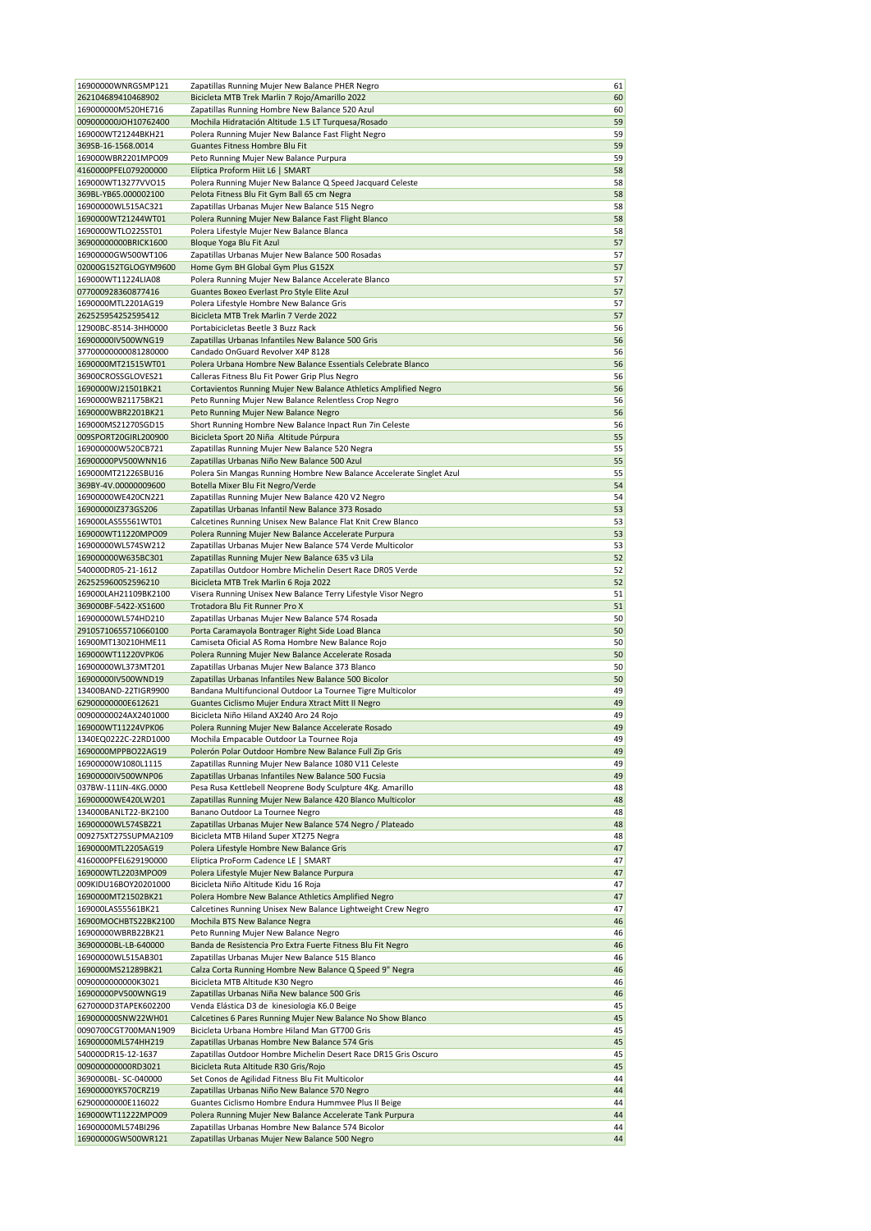| 16900000WNRGSMP121                         | Zapatillas Running Mujer New Balance PHER Negro                                                              | 61       |
|--------------------------------------------|--------------------------------------------------------------------------------------------------------------|----------|
| 262104689410468902                         | Bicicleta MTB Trek Marlin 7 Rojo/Amarillo 2022                                                               | 60       |
| 169000000M520HE716                         | Zapatillas Running Hombre New Balance 520 Azul                                                               | 60       |
| 009000000JOH10762400                       | Mochila Hidratación Altitude 1.5 LT Turquesa/Rosado                                                          | 59       |
| 169000WT21244BKH21                         | Polera Running Mujer New Balance Fast Flight Negro                                                           | 59       |
| 369SB-16-1568.0014                         | Guantes Fitness Hombre Blu Fit                                                                               | 59       |
| 169000WBR2201MPO09                         | Peto Running Mujer New Balance Purpura                                                                       | 59       |
| 4160000PFEL079200000                       | Elíptica Proform Hiit L6   SMART                                                                             | 58       |
| 169000WT13277VVO15                         | Polera Running Mujer New Balance Q Speed Jacquard Celeste                                                    | 58       |
| 369BL-YB65.000002100                       | Pelota Fitness Blu Fit Gym Ball 65 cm Negra                                                                  | 58       |
| 16900000WL515AC321                         | Zapatillas Urbanas Mujer New Balance 515 Negro                                                               | 58       |
| 1690000WT21244WT01                         | Polera Running Mujer New Balance Fast Flight Blanco                                                          | 58       |
| 1690000WTLO22SST01                         | Polera Lifestyle Mujer New Balance Blanca                                                                    | 58       |
| 36900000000BRICK1600                       | Bloque Yoga Blu Fit Azul                                                                                     | 57       |
| 16900000GW500WT106                         | Zapatillas Urbanas Mujer New Balance 500 Rosadas                                                             | 57       |
| 02000G152TGLOGYM9600                       | Home Gym BH Global Gym Plus G152X                                                                            | 57       |
| 169000WT11224LIA08                         | Polera Running Mujer New Balance Accelerate Blanco                                                           | 57       |
| 077000928360877416                         | Guantes Boxeo Everlast Pro Style Elite Azul                                                                  | 57       |
| 1690000MTL2201AG19                         | Polera Lifestyle Hombre New Balance Gris                                                                     | 57       |
| 262525954252595412                         | Bicicleta MTB Trek Marlin 7 Verde 2022                                                                       | 57       |
| 12900BC-8514-3HH0000                       | Portabicicletas Beetle 3 Buzz Rack                                                                           | 56       |
| 16900000IV500WNG19                         | Zapatillas Urbanas Infantiles New Balance 500 Gris                                                           | 56       |
| 37700000000081280000                       | Candado OnGuard Revolver X4P 8128                                                                            | 56       |
| 1690000MT21515WT01                         | Polera Urbana Hombre New Balance Essentials Celebrate Blanco                                                 | 56       |
| 36900CROSSGLOVES21                         | Calleras Fitness Blu Fit Power Grip Plus Negro                                                               | 56       |
| 1690000WJ21501BK21                         | Cortavientos Running Mujer New Balance Athletics Amplified Negro                                             | 56       |
| 1690000WB21175BK21                         | Peto Running Mujer New Balance Relentless Crop Negro                                                         | 56       |
| 1690000WBR2201BK21                         | Peto Running Mujer New Balance Negro                                                                         | 56       |
| 169000MS21270SGD15                         | Short Running Hombre New Balance Inpact Run 7in Celeste                                                      | 56       |
| 009SPORT20GIRL200900                       | Bicicleta Sport 20 Niña Altitude Púrpura                                                                     | 55       |
| 169000000W520CB721                         | Zapatillas Running Mujer New Balance 520 Negra                                                               | 55       |
| 16900000PV500WNN16                         | Zapatillas Urbanas Niño New Balance 500 Azul                                                                 | 55       |
| 169000MT21226SBU16                         | Polera Sin Mangas Running Hombre New Balance Accelerate Singlet Azul                                         | 55       |
| 369BY-4V.00000009600                       | Botella Mixer Blu Fit Negro/Verde                                                                            | 54       |
| 16900000WE420CN221                         | Zapatillas Running Mujer New Balance 420 V2 Negro                                                            | 54       |
| 16900000IZ373GS206                         | Zapatillas Urbanas Infantil New Balance 373 Rosado                                                           | 53       |
| 169000LAS55561WT01                         | Calcetines Running Unisex New Balance Flat Knit Crew Blanco                                                  | 53       |
| 169000WT11220MPO09                         | Polera Running Mujer New Balance Accelerate Purpura                                                          | 53       |
| 16900000WL574SW212                         | Zapatillas Urbanas Mujer New Balance 574 Verde Multicolor                                                    | 53       |
| 169000000W635BC301                         | Zapatillas Running Mujer New Balance 635 v3 Lila                                                             | 52       |
| 540000DR05-21-1612                         | Zapatillas Outdoor Hombre Michelin Desert Race DR05 Verde                                                    | 52       |
| 262525960052596210                         | Bicicleta MTB Trek Marlin 6 Roja 2022                                                                        | 52       |
| 169000LAH21109BK2100                       | Visera Running Unisex New Balance Terry Lifestyle Visor Negro                                                | 51       |
| 369000BF-5422-XS1600                       | Trotadora Blu Fit Runner Pro X                                                                               | 51       |
| 16900000WL574HD210                         | Zapatillas Urbanas Mujer New Balance 574 Rosada                                                              | 50       |
| 29105710655710660100                       | Porta Caramayola Bontrager Right Side Load Blanca                                                            | 50       |
| 16900MT130210HME11                         | Camiseta Oficial AS Roma Hombre New Balance Rojo                                                             | 50       |
| 169000WT11220VPK06                         | Polera Running Mujer New Balance Accelerate Rosada                                                           | 50       |
| 16900000WL373MT201                         | Zapatillas Urbanas Mujer New Balance 373 Blanco                                                              | 50       |
| 16900000IV500WND19                         | Zapatillas Urbanas Infantiles New Balance 500 Bicolor                                                        | 50       |
| 13400BAND-22TIGR9900                       | Bandana Multifuncional Outdoor La Tournee Tigre Multicolor                                                   | 49       |
| 62900000000E612621                         | Guantes Ciclismo Mujer Endura Xtract Mitt II Negro                                                           | 49       |
| 00900000024AX2401000                       | Bicicleta Niño Hiland AX240 Aro 24 Rojo                                                                      | 49       |
| 169000WT11224VPK06                         | Polera Running Mujer New Balance Accelerate Rosado                                                           | 49       |
| 1340EQ0222C-22RD1000                       | Mochila Empacable Outdoor La Tournee Roja                                                                    | 49       |
| 1690000MPPBO22AG19                         | Polerón Polar Outdoor Hombre New Balance Full Zip Gris                                                       | 49       |
| 16900000W1080L1115                         | Zapatillas Running Mujer New Balance 1080 V11 Celeste                                                        | 49       |
| 16900000IV500WNP06                         | Zapatillas Urbanas Infantiles New Balance 500 Fucsia                                                         | 49       |
| 037BW-111IN-4KG.0000                       | Pesa Rusa Kettlebell Neoprene Body Sculpture 4Kg. Amarillo                                                   | 48       |
| 16900000WE420LW201                         | Zapatillas Running Mujer New Balance 420 Blanco Multicolor                                                   | 48       |
| 134000BANLT22-BK2100                       | Banano Outdoor La Tournee Negro                                                                              | 48       |
| 16900000WL574SBZ21                         | Zapatillas Urbanas Mujer New Balance 574 Negro / Plateado                                                    | 48       |
| 009275XT275SUPMA2109                       | Bicicleta MTB Hiland Super XT275 Negra                                                                       | 48       |
| 1690000MTL2205AG19                         | Polera Lifestyle Hombre New Balance Gris                                                                     | 47       |
| 4160000PFEL629190000                       | Elíptica ProForm Cadence LE   SMART                                                                          | 47       |
| 169000WTL2203MPO09                         | Polera Lifestyle Mujer New Balance Purpura                                                                   | 47       |
| 009KIDU16BOY20201000                       | Bicicleta Niño Altitude Kidu 16 Roja                                                                         | 47       |
| 1690000MT21502BK21                         | Polera Hombre New Balance Athletics Amplified Negro                                                          | 47       |
| 169000LAS55561BK21                         | Calcetines Running Unisex New Balance Lightweight Crew Negro                                                 | 47       |
| 16900MOCHBTS22BK2100                       | Mochila BTS New Balance Negra                                                                                | 46       |
| 16900000WBRB22BK21                         | Peto Running Mujer New Balance Negro                                                                         | 46       |
| 36900000BL-LB-640000                       | Banda de Resistencia Pro Extra Fuerte Fitness Blu Fit Negro                                                  | 46       |
| 16900000WL515AB301                         | Zapatillas Urbanas Mujer New Balance 515 Blanco                                                              | 46       |
| 1690000MS21289BK21                         | Calza Corta Running Hombre New Balance Q Speed 9" Negra                                                      | 46       |
| 0090000000000K3021                         | Bicicleta MTB Altitude K30 Negro                                                                             | 46       |
| 16900000PV500WNG19                         | Zapatillas Urbanas Niña New balance 500 Gris<br>Venda Elástica D3 de kinesiologia K6.0 Beige                 | 46<br>45 |
| 6270000D3TAPEK602200<br>169000000SNW22WH01 |                                                                                                              | 45       |
|                                            | Calcetines 6 Pares Running Mujer New Balance No Show Blanco<br>Bicicleta Urbana Hombre Hiland Man GT700 Gris | 45       |
| 0090700CGT700MAN1909<br>16900000ML574HH219 | Zapatillas Urbanas Hombre New Balance 574 Gris                                                               | 45       |
| 540000DR15-12-1637                         | Zapatillas Outdoor Hombre Michelin Desert Race DR15 Gris Oscuro                                              | 45       |
| 009000000000RD3021                         | Bicicleta Ruta Altitude R30 Gris/Rojo                                                                        | 45       |
| 3690000BL-SC-040000                        |                                                                                                              | 44       |
| 16900000YK570CRZ19                         | Set Conos de Agilidad Fitness Blu Fit Multicolor<br>Zapatillas Urbanas Niño New Balance 570 Negro            | 44       |
| 62900000000E116022                         | Guantes Ciclismo Hombre Endura Hummvee Plus II Beige                                                         | 44       |
| 169000WT11222MPO09                         | Polera Running Mujer New Balance Accelerate Tank Purpura                                                     | 44       |
| 16900000ML574BI296                         | Zapatillas Urbanas Hombre New Balance 574 Bicolor                                                            | 44       |
| 16900000GW500WR121                         | Zapatillas Urbanas Mujer New Balance 500 Negro                                                               | 44       |
|                                            |                                                                                                              |          |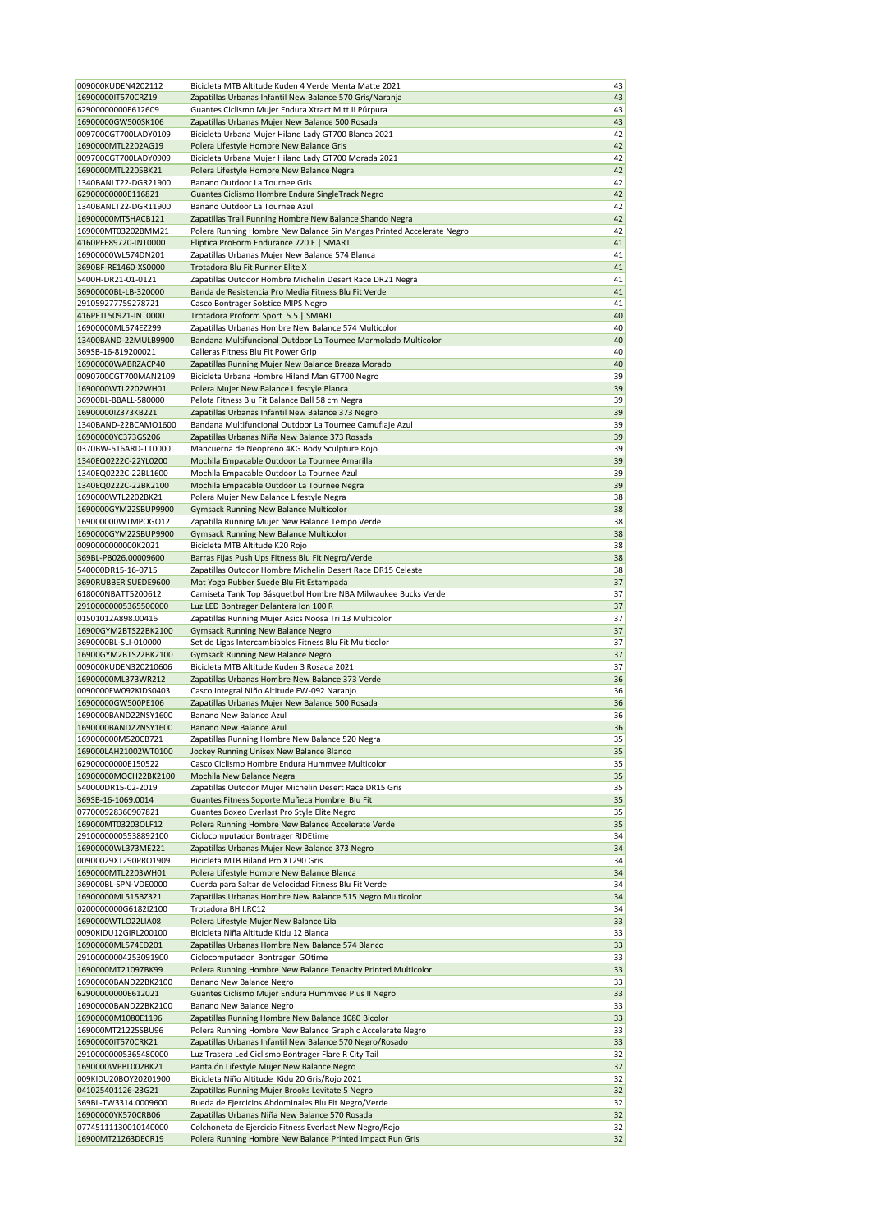| 009000KUDEN4202112   | Bicicleta MTB Altitude Kuden 4 Verde Menta Matte 2021                 | 43 |
|----------------------|-----------------------------------------------------------------------|----|
| 16900000IT570CRZ19   | Zapatillas Urbanas Infantil New Balance 570 Gris/Naranja              | 43 |
| 62900000000E612609   | Guantes Ciclismo Mujer Endura Xtract Mitt II Púrpura                  | 43 |
| 16900000GW500SK106   | Zapatillas Urbanas Mujer New Balance 500 Rosada                       | 43 |
| 009700CGT700LADY0109 | Bicicleta Urbana Mujer Hiland Lady GT700 Blanca 2021                  | 42 |
| 1690000MTL2202AG19   | Polera Lifestyle Hombre New Balance Gris                              | 42 |
| 009700CGT700LADY0909 | Bicicleta Urbana Mujer Hiland Lady GT700 Morada 2021                  | 42 |
|                      |                                                                       | 42 |
| 1690000MTL2205BK21   | Polera Lifestyle Hombre New Balance Negra                             |    |
| 1340BANLT22-DGR21900 | Banano Outdoor La Tournee Gris                                        | 42 |
| 62900000000E116821   | Guantes Ciclismo Hombre Endura SingleTrack Negro                      | 42 |
| 1340BANLT22-DGR11900 | Banano Outdoor La Tournee Azul                                        | 42 |
| 16900000MTSHACB121   | Zapatillas Trail Running Hombre New Balance Shando Negra              | 42 |
| 169000MT03202BMM21   | Polera Running Hombre New Balance Sin Mangas Printed Accelerate Negro | 42 |
| 4160PFE89720-INT0000 | Elíptica ProForm Endurance 720 E   SMART                              | 41 |
| 16900000WL574DN201   |                                                                       | 41 |
|                      | Zapatillas Urbanas Mujer New Balance 574 Blanca                       |    |
| 3690BF-RE1460-XS0000 | Trotadora Blu Fit Runner Elite X                                      | 41 |
| 5400H-DR21-01-0121   | Zapatillas Outdoor Hombre Michelin Desert Race DR21 Negra             | 41 |
| 36900000BL-LB-320000 | Banda de Resistencia Pro Media Fitness Blu Fit Verde                  | 41 |
| 291059277759278721   | Casco Bontrager Solstice MIPS Negro                                   | 41 |
| 416PFTL50921-INT0000 | Trotadora Proform Sport 5.5   SMART                                   | 40 |
| 16900000ML574EZ299   | Zapatillas Urbanas Hombre New Balance 574 Multicolor                  | 40 |
|                      |                                                                       | 40 |
| 13400BAND-22MULB9900 | Bandana Multifuncional Outdoor La Tournee Marmolado Multicolor        |    |
| 369SB-16-819200021   | Calleras Fitness Blu Fit Power Grip                                   | 40 |
| 16900000WABRZACP40   | Zapatillas Running Mujer New Balance Breaza Morado                    | 40 |
| 0090700CGT700MAN2109 | Bicicleta Urbana Hombre Hiland Man GT700 Negro                        | 39 |
| 1690000WTL2202WH01   | Polera Mujer New Balance Lifestyle Blanca                             | 39 |
| 36900BL-BBALL-580000 | Pelota Fitness Blu Fit Balance Ball 58 cm Negra                       | 39 |
| 16900000lZ373KB221   | Zapatillas Urbanas Infantil New Balance 373 Negro                     | 39 |
|                      |                                                                       |    |
| 1340BAND-22BCAMO1600 | Bandana Multifuncional Outdoor La Tournee Camuflaje Azul              | 39 |
| 16900000YC373GS206   | Zapatillas Urbanas Niña New Balance 373 Rosada                        | 39 |
| 0370BW-516ARD-T10000 | Mancuerna de Neopreno 4KG Body Sculpture Rojo                         | 39 |
| 1340EQ0222C-22YL0200 | Mochila Empacable Outdoor La Tournee Amarilla                         | 39 |
| 1340EQ0222C-22BL1600 | Mochila Empacable Outdoor La Tournee Azul                             | 39 |
| 1340EQ0222C-22BK2100 | Mochila Empacable Outdoor La Tournee Negra                            | 39 |
| 1690000WTL2202BK21   | Polera Mujer New Balance Lifestyle Negra                              | 38 |
|                      |                                                                       |    |
| 1690000GYM22SBUP9900 | Gymsack Running New Balance Multicolor                                | 38 |
| 169000000WTMPOGO12   | Zapatilla Running Mujer New Balance Tempo Verde                       | 38 |
| 1690000GYM22SBUP9900 | <b>Gymsack Running New Balance Multicolor</b>                         | 38 |
| 0090000000000K2021   | Bicicleta MTB Altitude K20 Rojo                                       | 38 |
| 369BL-PB026.00009600 | Barras Fijas Push Ups Fitness Blu Fit Negro/Verde                     | 38 |
| 540000DR15-16-0715   | Zapatillas Outdoor Hombre Michelin Desert Race DR15 Celeste           | 38 |
| 3690RUBBER SUEDE9600 |                                                                       | 37 |
|                      | Mat Yoga Rubber Suede Blu Fit Estampada                               |    |
| 618000NBATT5200612   | Camiseta Tank Top Básquetbol Hombre NBA Milwaukee Bucks Verde         | 37 |
| 29100000005365500000 | Luz LED Bontrager Delantera Ion 100 R                                 | 37 |
| 01501012A898.00416   | Zapatillas Running Mujer Asics Noosa Tri 13 Multicolor                | 37 |
| 16900GYM2BTS22BK2100 | Gymsack Running New Balance Negro                                     | 37 |
| 3690000BL-SLI-010000 | Set de Ligas Intercambiables Fitness Blu Fit Multicolor               | 37 |
| 16900GYM2BTS22BK2100 | Gymsack Running New Balance Negro                                     | 37 |
| 009000KUDEN320210606 | Bicicleta MTB Altitude Kuden 3 Rosada 2021                            | 37 |
|                      |                                                                       |    |
| 16900000ML373WR212   | Zapatillas Urbanas Hombre New Balance 373 Verde                       | 36 |
| 0090000FW092KIDS0403 | Casco Integral Niño Altitude FW-092 Naranjo                           | 36 |
| 16900000GW500PE106   | Zapatillas Urbanas Mujer New Balance 500 Rosada                       | 36 |
| 1690000BAND22NSY1600 | Banano New Balance Azul                                               | 36 |
| 1690000BAND22NSY1600 | Banano New Balance Azul                                               | 36 |
| 169000000M520CB721   | Zapatillas Running Hombre New Balance 520 Negra                       | 35 |
| 169000LAH21002WT0100 | Jockey Running Unisex New Balance Blanco                              | 35 |
|                      |                                                                       |    |
| 62900000000E150522   | Casco Ciclismo Hombre Endura Hummvee Multicolor                       | 35 |
| 16900000MOCH22BK2100 | Mochila New Balance Negra                                             | 35 |
| 540000DR15-02-2019   | Zapatillas Outdoor Mujer Michelin Desert Race DR15 Gris               | 35 |
| 369SB-16-1069.0014   | Guantes Fitness Soporte Muñeca Hombre Blu Fit                         | 35 |
| 077000928360907821   | Guantes Boxeo Everlast Pro Style Elite Negro                          | 35 |
| 169000MT03203OLF12   | Polera Running Hombre New Balance Accelerate Verde                    | 35 |
| 29100000005538892100 | Ciclocomputador Bontrager RIDEtime                                    | 34 |
|                      |                                                                       |    |
| 16900000WL373ME221   | Zapatillas Urbanas Mujer New Balance 373 Negro                        | 34 |
| 00900029XT290PRO1909 | Bicicleta MTB Hiland Pro XT290 Gris                                   | 34 |
| 1690000MTL2203WH01   | Polera Lifestyle Hombre New Balance Blanca                            | 34 |
| 369000BL-SPN-VDE0000 | Cuerda para Saltar de Velocidad Fitness Blu Fit Verde                 | 34 |
| 16900000ML515BZ321   | Zapatillas Urbanas Hombre New Balance 515 Negro Multicolor            | 34 |
| 0200000000G6182l2100 | Trotadora BH I.RC12                                                   | 34 |
| 1690000WTLO22LIA08   | Polera Lifestyle Mujer New Balance Lila                               | 33 |
| 0090KIDU12GIRL200100 | Bicicleta Niña Altitude Kidu 12 Blanca                                | 33 |
|                      |                                                                       |    |
| 16900000ML574ED201   | Zapatillas Urbanas Hombre New Balance 574 Blanco                      | 33 |
| 29100000004253091900 | Ciclocomputador Bontrager GOtime                                      | 33 |
| 1690000MT21097BK99   | Polera Running Hombre New Balance Tenacity Printed Multicolor         | 33 |
| 16900000BAND22BK2100 | Banano New Balance Negro                                              | 33 |
| 62900000000E612021   | Guantes Ciclismo Mujer Endura Hummvee Plus II Negro                   | 33 |
| 16900000BAND22BK2100 | Banano New Balance Negro                                              | 33 |
| 16900000M1080E1196   | Zapatillas Running Hombre New Balance 1080 Bicolor                    | 33 |
|                      |                                                                       |    |
| 169000MT21225SBU96   | Polera Running Hombre New Balance Graphic Accelerate Negro            | 33 |
| 16900000IT570CRK21   | Zapatillas Urbanas Infantil New Balance 570 Negro/Rosado              | 33 |
| 29100000005365480000 | Luz Trasera Led Ciclismo Bontrager Flare R City Tail                  | 32 |
| 1690000WPBL002BK21   | Pantalón Lifestyle Mujer New Balance Negro                            | 32 |
| 009KIDU20BOY20201900 | Bicicleta Niño Altitude Kidu 20 Gris/Rojo 2021                        | 32 |
| 041025401126-23G21   | Zapatillas Running Mujer Brooks Levitate 5 Negro                      | 32 |
| 369BL-TW3314.0009600 | Rueda de Ejercicios Abdominales Blu Fit Negro/Verde                   | 32 |
| 16900000YK570CRB06   | Zapatillas Urbanas Niña New Balance 570 Rosada                        | 32 |
|                      |                                                                       |    |
| 07745111130010140000 | Colchoneta de Ejercicio Fitness Everlast New Negro/Rojo               | 32 |
| 16900MT21263DECR19   | Polera Running Hombre New Balance Printed Impact Run Gris             | 32 |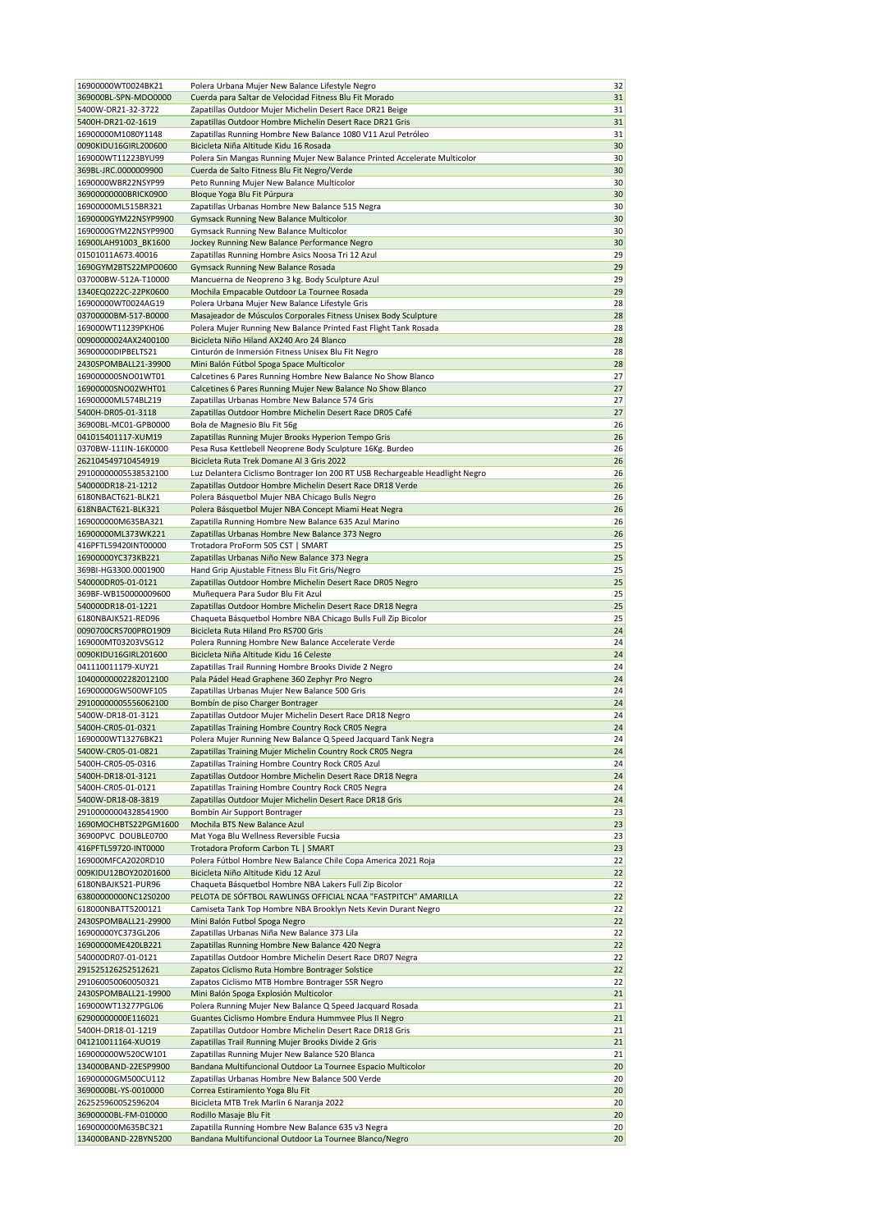| 16900000WT0024BK21                         | Polera Urbana Mujer New Balance Lifestyle Negro                                                                      | 32       |
|--------------------------------------------|----------------------------------------------------------------------------------------------------------------------|----------|
| 369000BL-SPN-MDO0000<br>5400W-DR21-32-3722 | Cuerda para Saltar de Velocidad Fitness Blu Fit Morado                                                               | 31<br>31 |
| 5400H-DR21-02-1619                         | Zapatillas Outdoor Mujer Michelin Desert Race DR21 Beige<br>Zapatillas Outdoor Hombre Michelin Desert Race DR21 Gris | 31       |
| 16900000M1080Y1148                         | Zapatillas Running Hombre New Balance 1080 V11 Azul Petróleo                                                         | 31       |
| 0090KIDU16GIRL200600                       | Bicicleta Niña Altitude Kidu 16 Rosada                                                                               | 30       |
| 169000WT11223BYU99                         | Polera Sin Mangas Running Mujer New Balance Printed Accelerate Multicolor                                            | 30       |
| 369BL-JRC.0000009900                       | Cuerda de Salto Fitness Blu Fit Negro/Verde                                                                          | 30       |
| 1690000WBR22NSYP99                         | Peto Running Mujer New Balance Multicolor                                                                            | 30       |
| 36900000000BRICK0900                       | Bloque Yoga Blu Fit Púrpura                                                                                          | 30       |
| 16900000ML515BR321                         | Zapatillas Urbanas Hombre New Balance 515 Negra                                                                      | 30       |
| 1690000GYM22NSYP9900                       | <b>Gymsack Running New Balance Multicolor</b>                                                                        | 30       |
| 1690000GYM22NSYP9900                       | Gymsack Running New Balance Multicolor                                                                               | 30       |
| 16900LAH91003 BK1600                       | Jockey Running New Balance Performance Negro                                                                         | 30       |
| 01501011A673.40016                         | Zapatillas Running Hombre Asics Noosa Tri 12 Azul                                                                    | 29       |
| 1690GYM2BTS22MPO0600                       | Gymsack Running New Balance Rosada                                                                                   | 29       |
| 037000BW-512A-T10000                       | Mancuerna de Neopreno 3 kg. Body Sculpture Azul                                                                      | 29       |
| 1340EQ0222C-22PK0600                       | Mochila Empacable Outdoor La Tournee Rosada                                                                          | 29       |
| 16900000WT0024AG19                         | Polera Urbana Mujer New Balance Lifestyle Gris                                                                       | 28       |
| 03700000BM-517-B0000                       | Masajeador de Músculos Corporales Fitness Unisex Body Sculpture                                                      | 28       |
| 169000WT11239PKH06                         | Polera Mujer Running New Balance Printed Fast Flight Tank Rosada                                                     | 28       |
| 00900000024AX2400100                       | Bicicleta Niño Hiland AX240 Aro 24 Blanco                                                                            | 28       |
| 36900000DIPBELTS21                         | Cinturón de Inmersión Fitness Unisex Blu Fit Negro                                                                   | 28       |
| 2430SPOMBALL21-39900                       | Mini Balón Fútbol Spoga Space Multicolor                                                                             | 28       |
| 169000000SNO01WT01                         | Calcetines 6 Pares Running Hombre New Balance No Show Blanco                                                         | 27       |
| 16900000SNO02WHT01                         | Calcetines 6 Pares Running Mujer New Balance No Show Blanco                                                          | 27       |
| 16900000ML574BL219                         | Zapatillas Urbanas Hombre New Balance 574 Gris                                                                       | 27       |
| 5400H-DR05-01-3118                         | Zapatillas Outdoor Hombre Michelin Desert Race DR05 Café                                                             | 27       |
| 36900BL-MC01-GPB0000                       | Bola de Magnesio Blu Fit 56g                                                                                         | 26       |
| 041015401117-XUM19                         | Zapatillas Running Mujer Brooks Hyperion Tempo Gris                                                                  | 26       |
| 0370BW-111IN-16K0000                       | Pesa Rusa Kettlebell Neoprene Body Sculpture 16Kg. Burdeo                                                            | 26       |
| 262104549710454919                         | Bicicleta Ruta Trek Domane Al 3 Gris 2022                                                                            | 26       |
| 29100000005538532100                       | Luz Delantera Ciclismo Bontrager Ion 200 RT USB Rechargeable Headlight Negro                                         | 26       |
| 540000DR18-21-1212                         | Zapatillas Outdoor Hombre Michelin Desert Race DR18 Verde                                                            | 26       |
| 6180NBACT621-BLK21                         | Polera Básquetbol Mujer NBA Chicago Bulls Negro                                                                      | 26       |
| 618NBACT621-BLK321                         | Polera Básquetbol Mujer NBA Concept Miami Heat Negra                                                                 | 26       |
| 169000000M635BA321                         | Zapatilla Running Hombre New Balance 635 Azul Marino                                                                 | 26       |
| 16900000ML373WK221                         | Zapatillas Urbanas Hombre New Balance 373 Negro                                                                      | 26       |
| 416PFTL59420INT00000                       | Trotadora ProForm 505 CST   SMART                                                                                    | 25       |
| 16900000YC373KB221                         | Zapatillas Urbanas Niño New Balance 373 Negra                                                                        | 25       |
| 369BI-HG3300.0001900                       | Hand Grip Ajustable Fitness Blu Fit Gris/Negro                                                                       | 25       |
| 540000DR05-01-0121                         | Zapatillas Outdoor Hombre Michelin Desert Race DR05 Negro                                                            | 25       |
| 369BF-WB150000009600                       | Muñequera Para Sudor Blu Fit Azul                                                                                    | 25       |
| 540000DR18-01-1221                         | Zapatillas Outdoor Hombre Michelin Desert Race DR18 Negra                                                            | 25       |
| 6180NBAJK521-RED96                         | Chaqueta Básquetbol Hombre NBA Chicago Bulls Full Zip Bicolor                                                        | 25       |
| 0090700CRS700PRO1909                       | Bicicleta Ruta Hiland Pro RS700 Gris                                                                                 | 24       |
| 169000MT03203VSG12<br>0090KIDU16GIRL201600 | Polera Running Hombre New Balance Accelerate Verde                                                                   | 24<br>24 |
| 041110011179-XUY21                         | Bicicleta Niña Altitude Kidu 16 Celeste                                                                              | 24       |
| 10400000002282012100                       | Zapatillas Trail Running Hombre Brooks Divide 2 Negro<br>Pala Pádel Head Graphene 360 Zephyr Pro Negro               | 24       |
| 16900000GW500WF105                         | Zapatillas Urbanas Mujer New Balance 500 Gris                                                                        | 24       |
| 29100000005556062100                       | Bombín de piso Charger Bontrager                                                                                     | 24       |
| 5400W-DR18-01-3121                         | Zapatillas Outdoor Mujer Michelin Desert Race DR18 Negro                                                             | 24       |
| 5400H-CR05-01-0321                         | Zapatillas Training Hombre Country Rock CR05 Negra                                                                   | 24       |
| 1690000WT13276BK21                         | Polera Mujer Running New Balance Q Speed Jacquard Tank Negra                                                         | 24       |
| 5400W-CR05-01-0821                         | Zapatillas Training Mujer Michelin Country Rock CR05 Negra                                                           | 24       |
| 5400H-CR05-05-0316                         | Zapatillas Training Hombre Country Rock CR05 Azul                                                                    | 24       |
| 5400H-DR18-01-3121                         | Zapatillas Outdoor Hombre Michelin Desert Race DR18 Negra                                                            | 24       |
| 5400H-CR05-01-0121                         | Zapatillas Training Hombre Country Rock CR05 Negra                                                                   | 24       |
| 5400W-DR18-08-3819                         | Zapatillas Outdoor Mujer Michelin Desert Race DR18 Gris                                                              | 24       |
| 29100000004328541900                       | Bombín Air Support Bontrager                                                                                         | 23       |
| 1690MOCHBTS22PGM1600                       | Mochila BTS New Balance Azul                                                                                         | 23       |
| 36900PVC DOUBLE0700                        | Mat Yoga Blu Wellness Reversible Fucsia                                                                              | 23       |
| 416PFTL59720-INT0000                       | Trotadora Proform Carbon TL   SMART                                                                                  | 23       |
| 169000MFCA2020RD10                         | Polera Fútbol Hombre New Balance Chile Copa America 2021 Roja                                                        | 22       |
| 009KIDU12BOY20201600                       | Bicicleta Niño Altitude Kidu 12 Azul                                                                                 | 22       |
| 6180NBAJK521-PUR96                         | Chaqueta Básquetbol Hombre NBA Lakers Full Zip Bicolor                                                               | 22       |
| 63800000000NC12S0200                       | PELOTA DE SÓFTBOL RAWLINGS OFFICIAL NCAA "FASTPITCH" AMARILLA                                                        | 22       |
| 618000NBATT5200121                         | Camiseta Tank Top Hombre NBA Brooklyn Nets Kevin Durant Negro                                                        | 22       |
| 2430SPOMBALL21-29900                       | Mini Balón Futbol Spoga Negro                                                                                        | 22       |
| 16900000YC373GL206                         | Zapatillas Urbanas Niña New Balance 373 Lila                                                                         | 22       |
| 16900000ME420LB221                         | Zapatillas Running Hombre New Balance 420 Negra                                                                      | 22       |
| 540000DR07-01-0121                         | Zapatillas Outdoor Hombre Michelin Desert Race DR07 Negra                                                            | 22       |
| 291525126252512621                         | Zapatos Ciclismo Ruta Hombre Bontrager Solstice                                                                      | 22       |
| 291060050060050321                         | Zapatos Ciclismo MTB Hombre Bontrager SSR Negro                                                                      | 22       |
| 2430SPOMBALL21-19900                       | Mini Balón Spoga Explosión Multicolor                                                                                | 21       |
| 169000WT13277PGL06                         | Polera Running Mujer New Balance Q Speed Jacquard Rosada                                                             | 21       |
| 62900000000E116021                         | Guantes Ciclismo Hombre Endura Hummvee Plus II Negro                                                                 | 21       |
| 5400H-DR18-01-1219                         | Zapatillas Outdoor Hombre Michelin Desert Race DR18 Gris                                                             | 21       |
| 041210011164-XUO19                         | Zapatillas Trail Running Mujer Brooks Divide 2 Gris                                                                  | 21       |
| 169000000W520CW101                         | Zapatillas Running Mujer New Balance 520 Blanca                                                                      | 21       |
| 134000BAND-22ESP9900                       | Bandana Multifuncional Outdoor La Tournee Espacio Multicolor                                                         | 20       |
| 16900000GM500CU112                         | Zapatillas Urbanas Hombre New Balance 500 Verde                                                                      | 20       |
| 3690000BL-YS-0010000                       | Correa Estiramiento Yoga Blu Fit                                                                                     | 20       |
| 262525960052596204                         | Bicicleta MTB Trek Marlin 6 Naranja 2022                                                                             | 20       |
| 36900000BL-FM-010000                       | Rodillo Masaje Blu Fit                                                                                               | 20       |
| 169000000M635BC321<br>134000BAND-22BYN5200 | Zapatilla Running Hombre New Balance 635 v3 Negra<br>Bandana Multifuncional Outdoor La Tournee Blanco/Negro          | 20<br>20 |
|                                            |                                                                                                                      |          |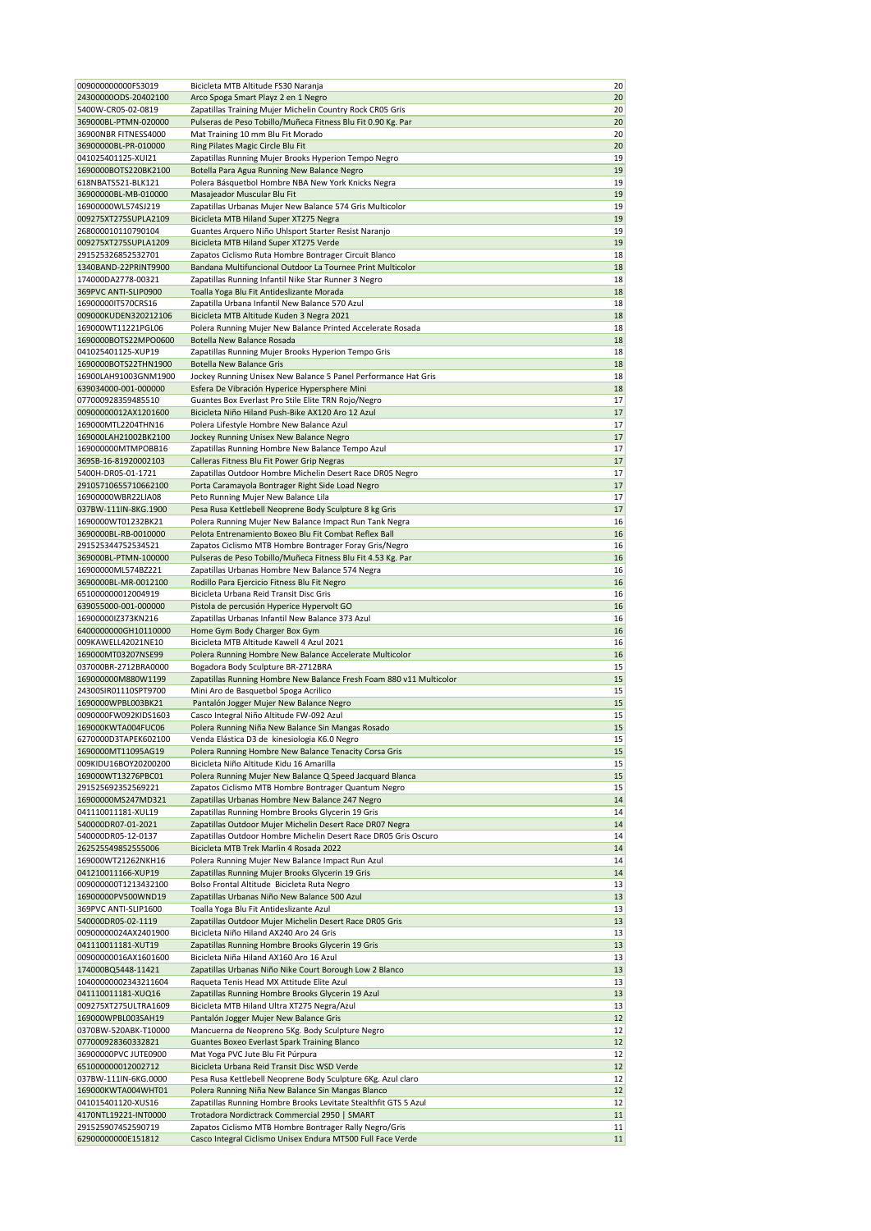| 009000000000FS3019                         | Bicicleta MTB Altitude FS30 Naranja                                                                             | 20 |
|--------------------------------------------|-----------------------------------------------------------------------------------------------------------------|----|
| 243000000DS-20402100                       | Arco Spoga Smart Playz 2 en 1 Negro                                                                             | 20 |
| 5400W-CR05-02-0819                         | Zapatillas Training Mujer Michelin Country Rock CR05 Gris                                                       | 20 |
| 369000BL-PTMN-020000                       | Pulseras de Peso Tobillo/Muñeca Fitness Blu Fit 0.90 Kg. Par                                                    | 20 |
| 36900NBR FITNESS4000                       | Mat Training 10 mm Blu Fit Morado                                                                               | 20 |
| 36900000BL-PR-010000                       | Ring Pilates Magic Circle Blu Fit                                                                               | 20 |
| 041025401125-XUI21                         | Zapatillas Running Mujer Brooks Hyperion Tempo Negro                                                            | 19 |
| 1690000BOTS220BK2100                       | Botella Para Agua Running New Balance Negro                                                                     | 19 |
| 618NBATS521-BLK121                         | Polera Básquetbol Hombre NBA New York Knicks Negra                                                              | 19 |
| 36900000BL-MB-010000                       | Masajeador Muscular Blu Fit                                                                                     | 19 |
| 16900000WL574SJ219                         | Zapatillas Urbanas Mujer New Balance 574 Gris Multicolor                                                        | 19 |
| 009275XT275SUPLA2109                       | Bicicleta MTB Hiland Super XT275 Negra                                                                          | 19 |
| 268000010110790104                         | Guantes Arquero Niño Uhlsport Starter Resist Naranjo                                                            | 19 |
| 009275XT275SUPLA1209                       | Bicicleta MTB Hiland Super XT275 Verde                                                                          | 19 |
| 291525326852532701                         | Zapatos Ciclismo Ruta Hombre Bontrager Circuit Blanco                                                           | 18 |
| 1340BAND-22PRINT9900                       | Bandana Multifuncional Outdoor La Tournee Print Multicolor                                                      | 18 |
| 174000DA2778-00321                         | Zapatillas Running Infantil Nike Star Runner 3 Negro                                                            | 18 |
| 369PVC ANTI-SLIP0900                       | Toalla Yoga Blu Fit Antideslizante Morada                                                                       | 18 |
| 16900000IT570CRS16                         | Zapatilla Urbana Infantil New Balance 570 Azul                                                                  | 18 |
| 009000KUDEN320212106                       | Bicicleta MTB Altitude Kuden 3 Negra 2021                                                                       | 18 |
| 169000WT11221PGL06                         | Polera Running Mujer New Balance Printed Accelerate Rosada                                                      | 18 |
| 1690000BOTS22MPO0600                       | Botella New Balance Rosada                                                                                      | 18 |
| 041025401125-XUP19                         | Zapatillas Running Mujer Brooks Hyperion Tempo Gris                                                             | 18 |
| 1690000BOTS22THN1900                       | <b>Botella New Balance Gris</b>                                                                                 | 18 |
| 16900LAH91003GNM1900                       |                                                                                                                 | 18 |
| 639034000-001-000000                       | Jockey Running Unisex New Balance 5 Panel Performance Hat Gris<br>Esfera De Vibración Hyperice Hypersphere Mini | 18 |
| 077000928359485510                         | Guantes Box Everlast Pro Stile Elite TRN Rojo/Negro                                                             | 17 |
| 00900000012AX1201600                       |                                                                                                                 | 17 |
|                                            | Bicicleta Niño Hiland Push-Bike AX120 Aro 12 Azul                                                               |    |
| 169000MTL2204THN16<br>169000LAH21002BK2100 | Polera Lifestyle Hombre New Balance Azul                                                                        | 17 |
|                                            | Jockey Running Unisex New Balance Negro                                                                         | 17 |
| 169000000MTMPOBB16                         | Zapatillas Running Hombre New Balance Tempo Azul                                                                | 17 |
| 369SB-16-81920002103                       | Calleras Fitness Blu Fit Power Grip Negras                                                                      | 17 |
| 5400H-DR05-01-1721                         | Zapatillas Outdoor Hombre Michelin Desert Race DR05 Negro                                                       | 17 |
| 29105710655710662100                       | Porta Caramayola Bontrager Right Side Load Negro                                                                | 17 |
| 16900000WBR22LIA08                         | Peto Running Mujer New Balance Lila                                                                             | 17 |
| 037BW-111IN-8KG.1900                       | Pesa Rusa Kettlebell Neoprene Body Sculpture 8 kg Gris                                                          | 17 |
| 1690000WT01232BK21                         | Polera Running Mujer New Balance Impact Run Tank Negra                                                          | 16 |
| 3690000BL-RB-0010000                       | Pelota Entrenamiento Boxeo Blu Fit Combat Reflex Ball                                                           | 16 |
| 291525344752534521                         | Zapatos Ciclismo MTB Hombre Bontrager Foray Gris/Negro                                                          | 16 |
| 369000BL-PTMN-100000                       | Pulseras de Peso Tobillo/Muñeca Fitness Blu Fit 4.53 Kg. Par                                                    | 16 |
| 16900000ML574BZ221                         | Zapatillas Urbanas Hombre New Balance 574 Negra                                                                 | 16 |
| 3690000BL-MR-0012100                       | Rodillo Para Ejercicio Fitness Blu Fit Negro                                                                    | 16 |
| 651000000012004919                         | Bicicleta Urbana Reid Transit Disc Gris                                                                         | 16 |
| 639055000-001-000000                       | Pistola de percusión Hyperice Hypervolt GO                                                                      | 16 |
| 16900000IZ373KN216                         | Zapatillas Urbanas Infantil New Balance 373 Azul                                                                | 16 |
| 6400000000GH10110000                       | Home Gym Body Charger Box Gym                                                                                   | 16 |
| 009KAWELL42021NE10                         | Bicicleta MTB Altitude Kawell 4 Azul 2021                                                                       | 16 |
| 169000MT03207NSE99                         | Polera Running Hombre New Balance Accelerate Multicolor                                                         | 16 |
| 037000BR-2712BRA0000                       | Bogadora Body Sculpture BR-2712BRA                                                                              | 15 |
| 169000000M880W1199                         | Zapatillas Running Hombre New Balance Fresh Foam 880 v11 Multicolor                                             | 15 |
| 24300SIR01110SPT9700                       | Mini Aro de Basquetbol Spoga Acrilico                                                                           | 15 |
| 1690000WPBL003BK21                         | Pantalón Jogger Mujer New Balance Negro                                                                         | 15 |
| 0090000FW092KIDS1603                       | Casco Integral Niño Altitude FW-092 Azul                                                                        | 15 |
| 169000KWTA004FUC06                         | Polera Running Niña New Balance Sin Mangas Rosado                                                               | 15 |
| 6270000D3TAPEK602100                       | Venda Elástica D3 de kinesiologia K6.0 Negro                                                                    | 15 |
| 1690000MT11095AG19                         | Polera Running Hombre New Balance Tenacity Corsa Gris                                                           | 15 |
| 009KIDU16BOY20200200                       | Bicicleta Niño Altitude Kidu 16 Amarilla                                                                        | 15 |
| 169000WT13276PBC01                         | Polera Running Mujer New Balance Q Speed Jacquard Blanca                                                        | 15 |
| 291525692352569221                         | Zapatos Ciclismo MTB Hombre Bontrager Quantum Negro                                                             | 15 |
| 16900000MS247MD321                         | Zapatillas Urbanas Hombre New Balance 247 Negro                                                                 | 14 |
| 041110011181-XUL19                         | Zapatillas Running Hombre Brooks Glycerin 19 Gris                                                               | 14 |
| 540000DR07-01-2021                         | Zapatillas Outdoor Mujer Michelin Desert Race DR07 Negra                                                        | 14 |
| 540000DR05-12-0137                         | Zapatillas Outdoor Hombre Michelin Desert Race DR05 Gris Oscuro                                                 | 14 |
| 262525549852555006                         | Bicicleta MTB Trek Marlin 4 Rosada 2022                                                                         | 14 |
| 169000WT21262NKH16                         | Polera Running Mujer New Balance Impact Run Azul                                                                | 14 |
| 041210011166-XUP19                         | Zapatillas Running Mujer Brooks Glycerin 19 Gris                                                                | 14 |
| 009000000T1213432100                       | Bolso Frontal Altitude Bicicleta Ruta Negro                                                                     | 13 |
| 16900000PV500WND19                         | Zapatillas Urbanas Niño New Balance 500 Azul                                                                    | 13 |
| 369PVC ANTI-SLIP1600                       | Toalla Yoga Blu Fit Antideslizante Azul                                                                         | 13 |
| 540000DR05-02-1119                         | Zapatillas Outdoor Mujer Michelin Desert Race DR05 Gris                                                         | 13 |
| 00900000024AX2401900                       | Bicicleta Niño Hiland AX240 Aro 24 Gris                                                                         | 13 |
| 041110011181-XUT19                         | Zapatillas Running Hombre Brooks Glycerin 19 Gris                                                               | 13 |
| 00900000016AX1601600                       | Bicicleta Niña Hiland AX160 Aro 16 Azul                                                                         | 13 |
| 174000BQ5448-11421                         | Zapatillas Urbanas Niño Nike Court Borough Low 2 Blanco                                                         | 13 |
| 10400000002343211604                       | Raqueta Tenis Head MX Attitude Elite Azul                                                                       | 13 |
| 041110011181-XUQ16                         | Zapatillas Running Hombre Brooks Glycerin 19 Azul                                                               | 13 |
| 009275XT275ULTRA1609                       | Bicicleta MTB Hiland Ultra XT275 Negra/Azul                                                                     | 13 |
| 169000WPBL003SAH19                         | Pantalón Jogger Mujer New Balance Gris                                                                          | 12 |
| 0370BW-520ABK-T10000                       | Mancuerna de Neopreno 5Kg. Body Sculpture Negro                                                                 | 12 |
| 077000928360332821                         | Guantes Boxeo Everlast Spark Training Blanco                                                                    | 12 |
| 36900000PVC JUTE0900                       | Mat Yoga PVC Jute Blu Fit Púrpura                                                                               | 12 |
| 651000000012002712                         | Bicicleta Urbana Reid Transit Disc WSD Verde                                                                    | 12 |
| 037BW-111IN-6KG.0000                       | Pesa Rusa Kettlebell Neoprene Body Sculpture 6Kg. Azul claro                                                    | 12 |
| 169000KWTA004WHT01                         | Polera Running Niña New Balance Sin Mangas Blanco                                                               | 12 |
| 041015401120-XUS16                         | Zapatillas Running Hombre Brooks Levitate Stealthfit GTS 5 Azul                                                 | 12 |
| 4170NTL19221-INT0000                       | Trotadora Nordictrack Commercial 2950   SMART                                                                   | 11 |
| 291525907452590719                         | Zapatos Ciclismo MTB Hombre Bontrager Rally Negro/Gris                                                          | 11 |
| 62900000000E151812                         | Casco Integral Ciclismo Unisex Endura MT500 Full Face Verde                                                     | 11 |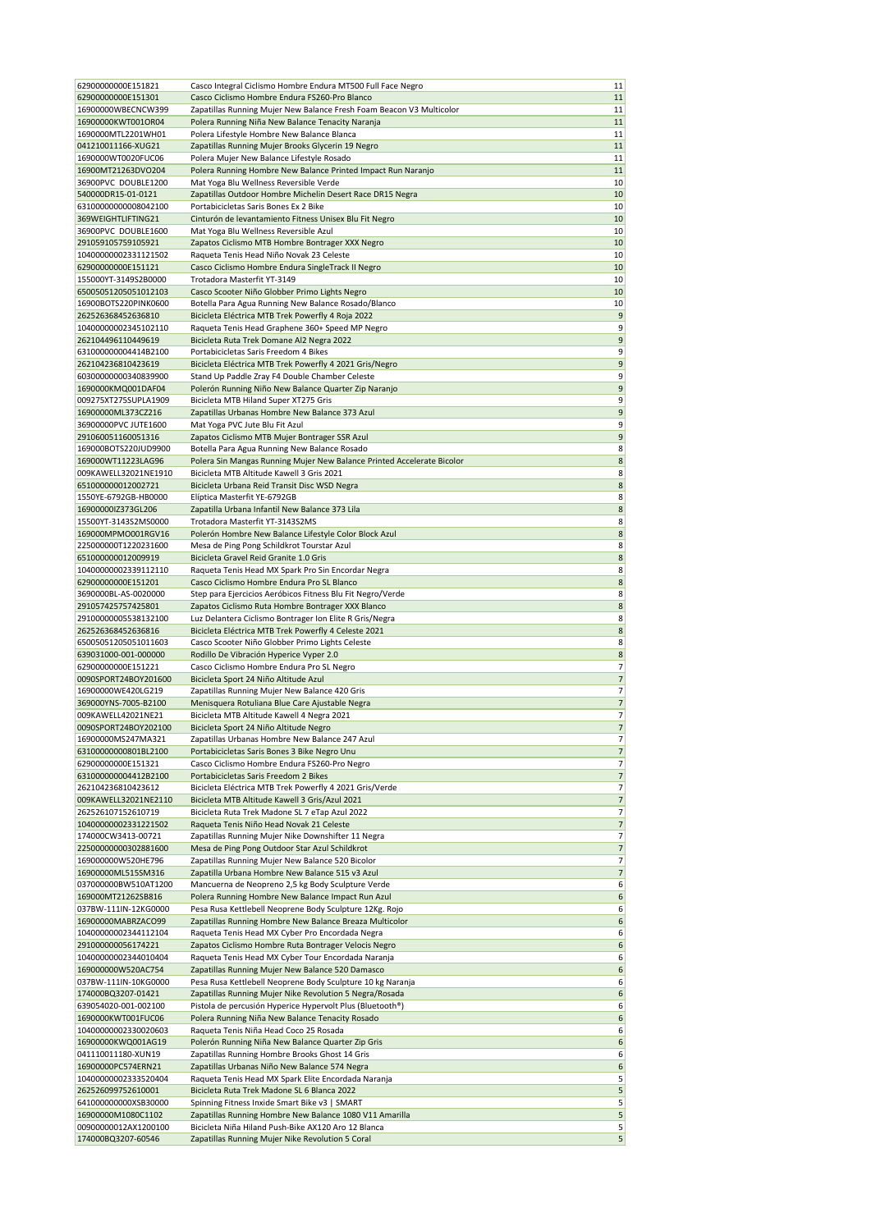| 62900000000E151821                         | Casco Integral Ciclismo Hombre Endura MT500 Full Face Negro            | 11                       |
|--------------------------------------------|------------------------------------------------------------------------|--------------------------|
| 62900000000E151301                         | Casco Ciclismo Hombre Endura FS260-Pro Blanco                          | 11                       |
| 16900000WBECNCW399                         | Zapatillas Running Mujer New Balance Fresh Foam Beacon V3 Multicolor   | 11                       |
| 16900000KWT001OR04                         | Polera Running Niña New Balance Tenacity Naranja                       | 11                       |
| 1690000MTL2201WH01                         | Polera Lifestyle Hombre New Balance Blanca                             | 11                       |
| 041210011166-XUG21                         | Zapatillas Running Mujer Brooks Glycerin 19 Negro                      | 11                       |
| 1690000WT0020FUC06                         | Polera Mujer New Balance Lifestyle Rosado                              | 11                       |
| 16900MT21263DVO204                         | Polera Running Hombre New Balance Printed Impact Run Naranjo           | 11                       |
| 36900PVC DOUBLE1200                        | Mat Yoga Blu Wellness Reversible Verde                                 | 10                       |
| 540000DR15-01-0121                         | Zapatillas Outdoor Hombre Michelin Desert Race DR15 Negra              | 10                       |
| 63100000000008042100                       | Portabicicletas Saris Bones Ex 2 Bike                                  | 10                       |
| 369WEIGHTLIFTING21                         | Cinturón de levantamiento Fitness Unisex Blu Fit Negro                 | 10                       |
| 36900PVC DOUBLE1600                        | Mat Yoga Blu Wellness Reversible Azul                                  | 10                       |
| 291059105759105921                         | Zapatos Ciclismo MTB Hombre Bontrager XXX Negro                        | 10                       |
| 10400000002331121502                       | Raqueta Tenis Head Niño Novak 23 Celeste                               | 10                       |
| 62900000000E151121                         | Casco Ciclismo Hombre Endura SingleTrack II Negro                      | 10                       |
| 155000YT-3149S2B0000                       | Trotadora Masterfit YT-3149                                            | 10                       |
| 65005051205051012103                       | Casco Scooter Niño Globber Primo Lights Negro                          | 10                       |
| 16900BOTS220PINK0600                       |                                                                        | 10                       |
|                                            | Botella Para Agua Running New Balance Rosado/Blanco                    | 9                        |
| 262526368452636810<br>10400000002345102110 | Bicicleta Eléctrica MTB Trek Powerfly 4 Roja 2022                      | 9                        |
| 262104496110449619                         | Raqueta Tenis Head Graphene 360+ Speed MP Negro                        | 9                        |
|                                            | Bicicleta Ruta Trek Domane Al2 Negra 2022                              |                          |
| 631000000004414B2100                       | Portabicicletas Saris Freedom 4 Bikes                                  | 9                        |
| 262104236810423619                         | Bicicleta Eléctrica MTB Trek Powerfly 4 2021 Gris/Negro                | 9<br>9                   |
| 60300000000340839900                       | Stand Up Paddle Zray F4 Double Chamber Celeste                         |                          |
| 1690000KMQ001DAF04                         | Polerón Running Niño New Balance Quarter Zip Naranjo                   | 9                        |
| 009275XT275SUPLA1909                       | Bicicleta MTB Hiland Super XT275 Gris                                  | 9                        |
| 16900000ML373CZ216                         | Zapatillas Urbanas Hombre New Balance 373 Azul                         | 9                        |
| 36900000PVC JUTE1600                       | Mat Yoga PVC Jute Blu Fit Azul                                         | 9                        |
| 291060051160051316                         | Zapatos Ciclismo MTB Mujer Bontrager SSR Azul                          | 9                        |
| 169000BOTS220JUD9900                       | Botella Para Agua Running New Balance Rosado                           | 8                        |
| 169000WT11223LAG96                         | Polera Sin Mangas Running Mujer New Balance Printed Accelerate Bicolor | 8                        |
| 009KAWELL32021NE1910                       | Bicicleta MTB Altitude Kawell 3 Gris 2021                              | 8                        |
| 651000000012002721                         | Bicicleta Urbana Reid Transit Disc WSD Negra                           | 8                        |
| 1550YE-6792GB-HB0000                       | Elíptica Masterfit YE-6792GB                                           | 8                        |
| 16900000IZ373GL206                         | Zapatilla Urbana Infantil New Balance 373 Lila                         | 8                        |
| 15500YT-3143S2MS0000                       | Trotadora Masterfit YT-3143S2MS                                        | 8                        |
| 169000MPMO001RGV16                         | Polerón Hombre New Balance Lifestyle Color Block Azul                  | $\bf 8$                  |
| 225000000T1220231600                       | Mesa de Ping Pong Schildkrot Tourstar Azul                             | 8                        |
| 651000000012009919                         | Bicicleta Gravel Reid Granite 1.0 Gris                                 | 8                        |
| 10400000002339112110                       | Raqueta Tenis Head MX Spark Pro Sin Encordar Negra                     | 8                        |
| 62900000000E151201                         | Casco Ciclismo Hombre Endura Pro SL Blanco                             | 8                        |
| 3690000BL-AS-0020000                       | Step para Ejercicios Aeróbicos Fitness Blu Fit Negro/Verde             | 8                        |
| 291057425757425801                         | Zapatos Ciclismo Ruta Hombre Bontrager XXX Blanco                      | 8                        |
| 29100000005538132100                       | Luz Delantera Ciclismo Bontrager Ion Elite R Gris/Negra                | 8                        |
| 262526368452636816                         | Bicicleta Eléctrica MTB Trek Powerfly 4 Celeste 2021                   | 8                        |
| 65005051205051011603                       | Casco Scooter Niño Globber Primo Lights Celeste                        | 8                        |
| 639031000-001-000000                       | Rodillo De Vibración Hyperice Vyper 2.0                                | 8                        |
| 62900000000E151221                         | Casco Ciclismo Hombre Endura Pro SL Negro                              | 7                        |
| 0090SPORT24BOY201600                       | Bicicleta Sport 24 Niño Altitude Azul                                  | 7                        |
| 16900000WE420LG219                         | Zapatillas Running Mujer New Balance 420 Gris                          | 7                        |
| 369000YNS-7005-B2100                       | Menisquera Rotuliana Blue Care Ajustable Negra                         | $\overline{\phantom{a}}$ |
| 009KAWELL42021NE21                         | Bicicleta MTB Altitude Kawell 4 Negra 2021                             | 7                        |
| 0090SPORT24BOY202100                       | Bicicleta Sport 24 Niño Altitude Negro                                 | $\overline{\phantom{a}}$ |
| 16900000MS247MA321                         | Zapatillas Urbanas Hombre New Balance 247 Azul                         | $\overline{7}$           |
| 63100000000801BL2100                       | Portabicicletas Saris Bones 3 Bike Negro Unu                           | 7                        |
| 62900000000E151321                         | Casco Ciclismo Hombre Endura FS260-Pro Negro                           | 7                        |
| 631000000004412B2100                       | Portabicicletas Saris Freedom 2 Bikes                                  | 7                        |
| 262104236810423612                         | Bicicleta Eléctrica MTB Trek Powerfly 4 2021 Gris/Verde                | 7                        |
| 009KAWELL32021NE2110                       | Bicicleta MTB Altitude Kawell 3 Gris/Azul 2021                         | 7                        |
| 262526107152610719                         | Bicicleta Ruta Trek Madone SL 7 eTap Azul 2022                         | 7                        |
| 10400000002331221502                       | Raqueta Tenis Niño Head Novak 21 Celeste                               | $\overline{7}$           |
| 174000CW3413-00721                         | Zapatillas Running Mujer Nike Downshifter 11 Negra                     | 7                        |
| 22500000000302881600                       | Mesa de Ping Pong Outdoor Star Azul Schildkrot                         | 7                        |
| 169000000W520HE796                         | Zapatillas Running Mujer New Balance 520 Bicolor                       | 7                        |
| 16900000ML515SM316                         | Zapatilla Urbana Hombre New Balance 515 v3 Azul                        | 7                        |
| 037000000BW510AT1200                       | Mancuerna de Neopreno 2,5 kg Body Sculpture Verde                      | 6                        |
| 169000MT21262SB816                         | Polera Running Hombre New Balance Impact Run Azul                      | 6                        |
| 037BW-111IN-12KG0000                       | Pesa Rusa Kettlebell Neoprene Body Sculpture 12Kg. Rojo                | 6                        |
| 16900000MABRZACO99                         | Zapatillas Running Hombre New Balance Breaza Multicolor                | 6                        |
| 10400000002344112104                       | Raqueta Tenis Head MX Cyber Pro Encordada Negra                        | 6                        |
| 291000000056174221                         | Zapatos Ciclismo Hombre Ruta Bontrager Velocis Negro                   | 6                        |
| 10400000002344010404                       | Raqueta Tenis Head MX Cyber Tour Encordada Naranja                     | 6                        |
| 169000000W520AC754                         | Zapatillas Running Mujer New Balance 520 Damasco                       | 6                        |
| 037BW-111IN-10KG0000                       | Pesa Rusa Kettlebell Neoprene Body Sculpture 10 kg Naranja             | 6                        |
| 174000BQ3207-01421                         | Zapatillas Running Mujer Nike Revolution 5 Negra/Rosada                | 6                        |
| 639054020-001-002100                       | Pistola de percusión Hyperice Hypervolt Plus (Bluetooth®)              | 6                        |
| 1690000KWT001FUC06                         | Polera Running Niña New Balance Tenacity Rosado                        | 6                        |
| 10400000002330020603                       | Raqueta Tenis Niña Head Coco 25 Rosada                                 | 6                        |
| 16900000KWQ001AG19                         | Polerón Running Niña New Balance Quarter Zip Gris                      | 6                        |
| 041110011180-XUN19                         | Zapatillas Running Hombre Brooks Ghost 14 Gris                         | 6                        |
| 16900000PC574ERN21                         | Zapatillas Urbanas Niño New Balance 574 Negra                          | 6                        |
| 10400000002333520404                       | Raqueta Tenis Head MX Spark Elite Encordada Naranja                    | 5                        |
| 262526099752610001                         | Bicicleta Ruta Trek Madone SL 6 Blanca 2022                            | 5                        |
| 641000000000XSB30000                       | Spinning Fitness Inxide Smart Bike v3   SMART                          | 5                        |
| 16900000M1080C1102                         | Zapatillas Running Hombre New Balance 1080 V11 Amarilla                | 5                        |
| 00900000012AX1200100                       | Bicicleta Niña Hiland Push-Bike AX120 Aro 12 Blanca                    | 5                        |
| 174000BQ3207-60546                         | Zapatillas Running Mujer Nike Revolution 5 Coral                       | 5                        |